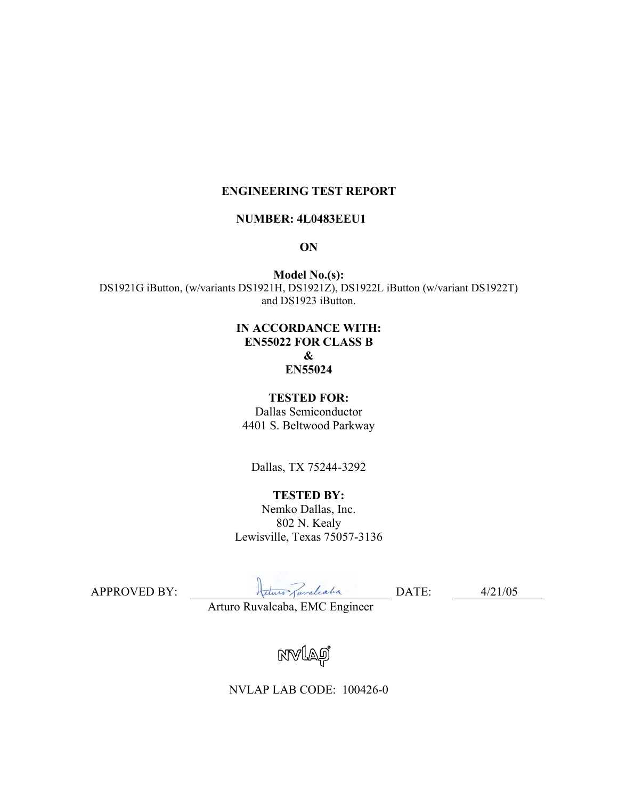### **ENGINEERING TEST REPORT**

#### **NUMBER: 4L0483EEU1**

#### **ON**

**Model No.(s):**  DS1921G iButton, (w/variants DS1921H, DS1921Z), DS1922L iButton (w/variant DS1922T) and DS1923 iButton.

#### **IN ACCORDANCE WITH: EN55022 FOR CLASS B & EN55024**

#### **TESTED FOR:**

Dallas Semiconductor 4401 S. Beltwood Parkway

Dallas, TX 75244-3292

# **TESTED BY:**

Nemko Dallas, Inc. 802 N. Kealy Lewisville, Texas 75057-3136

APPROVED BY: <del>Adam Javaliation</del> DATE: 4/21/05

Arturo Ruvalcaba, EMC Engineer

NVLAO

NVLAP LAB CODE: 100426-0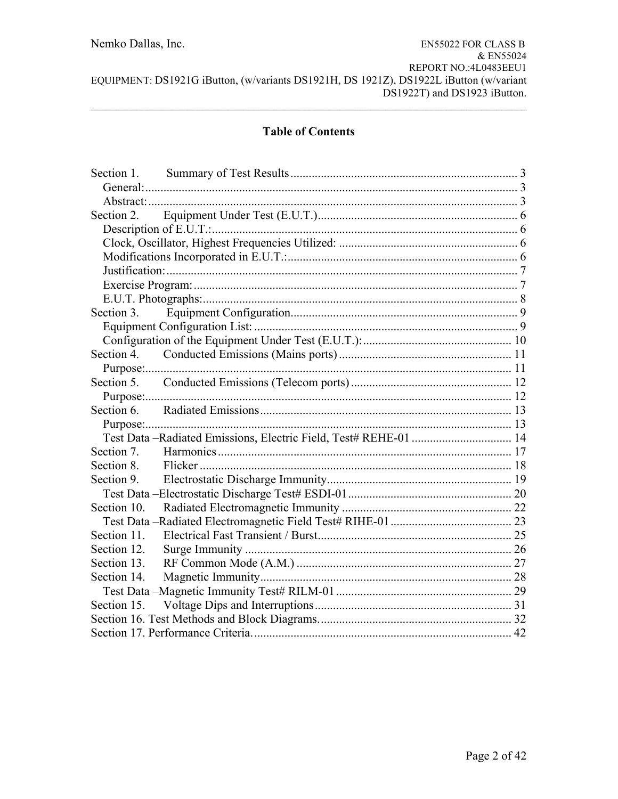# **Table of Contents**

| Section 3.  |  |
|-------------|--|
|             |  |
|             |  |
|             |  |
|             |  |
|             |  |
|             |  |
|             |  |
|             |  |
|             |  |
| Section 7.  |  |
| Section 8.  |  |
|             |  |
|             |  |
|             |  |
|             |  |
| Section 11. |  |
| Section 12. |  |
| Section 13. |  |
| Section 14. |  |
|             |  |
|             |  |
|             |  |
|             |  |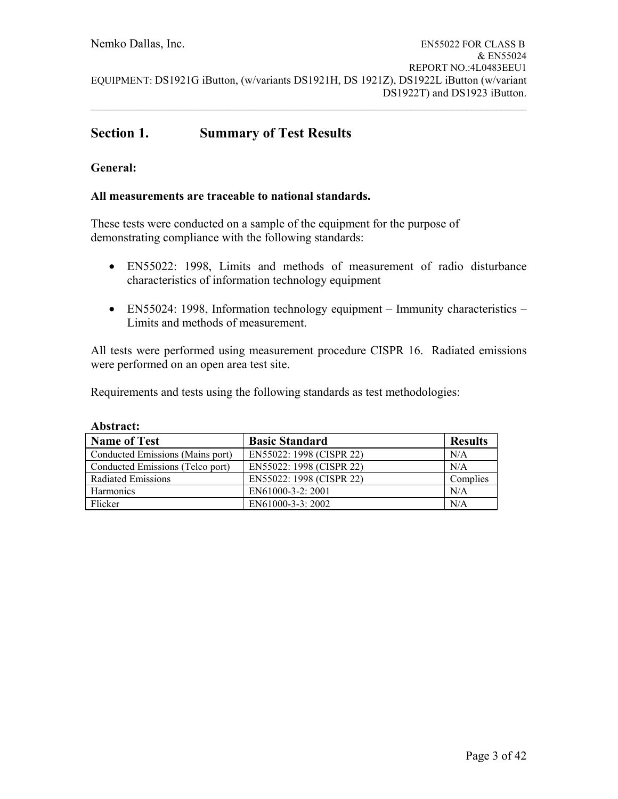# **Section 1. Summary of Test Results**

### **General:**

#### **All measurements are traceable to national standards.**

These tests were conducted on a sample of the equipment for the purpose of demonstrating compliance with the following standards:

- EN55022: 1998, Limits and methods of measurement of radio disturbance characteristics of information technology equipment
- EN55024: 1998, Information technology equipment Immunity characteristics Limits and methods of measurement.

All tests were performed using measurement procedure CISPR 16. Radiated emissions were performed on an open area test site.

Requirements and tests using the following standards as test methodologies:

| <b>Name of Test</b>              | <b>Basic Standard</b>    | <b>Results</b> |
|----------------------------------|--------------------------|----------------|
| Conducted Emissions (Mains port) | EN55022: 1998 (CISPR 22) | N/A            |
| Conducted Emissions (Telco port) | EN55022: 1998 (CISPR 22) | N/A            |
| Radiated Emissions               | EN55022: 1998 (CISPR 22) | Complies       |
| <b>Harmonics</b>                 | EN61000-3-2: 2001        | N/A            |
| Flicker                          | EN61000-3-3: 2002        | N/A            |

#### **Abstract:**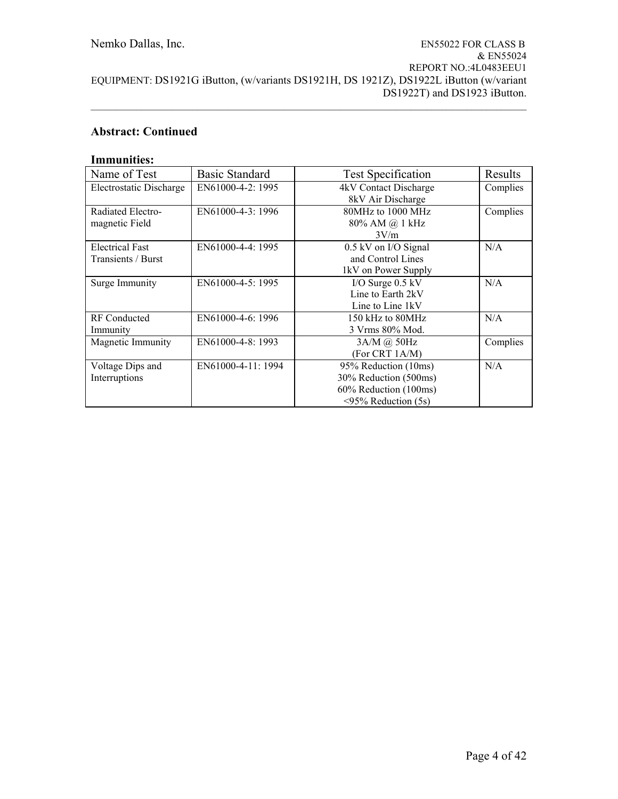# **Abstract: Continued**

### **Immunities:**

| Name of Test            | <b>Basic Standard</b> | <b>Test Specification</b> | Results  |
|-------------------------|-----------------------|---------------------------|----------|
| Electrostatic Discharge | EN61000-4-2: 1995     | 4kV Contact Discharge     | Complies |
|                         |                       | 8kV Air Discharge         |          |
| Radiated Electro-       | EN61000-4-3: 1996     | 80MHz to 1000 MHz         | Complies |
| magnetic Field          |                       | 80% AM @ 1 kHz            |          |
|                         |                       | 3V/m                      |          |
| <b>Electrical Fast</b>  | EN61000-4-4: 1995     | 0.5 kV on I/O Signal      | N/A      |
| Transients / Burst      |                       | and Control Lines         |          |
|                         |                       | 1kV on Power Supply       |          |
| Surge Immunity          | EN61000-4-5: 1995     | I/O Surge $0.5$ kV        | N/A      |
|                         |                       | Line to Earth 2kV         |          |
|                         |                       | Line to Line 1kV          |          |
| <b>RF</b> Conducted     | EN61000-4-6: 1996     | 150 kHz to 80MHz          | N/A      |
| Immunity                |                       | 3 Vrms 80% Mod.           |          |
| Magnetic Immunity       | EN61000-4-8: 1993     | 3A/M @ 50Hz               | Complies |
|                         |                       | (For CRT 1A/M)            |          |
| Voltage Dips and        | EN61000-4-11: 1994    | 95% Reduction (10ms)      | N/A      |
| Interruptions           |                       | 30% Reduction (500ms)     |          |
|                         |                       | 60% Reduction (100ms)     |          |
|                         |                       | $\leq$ 95% Reduction (5s) |          |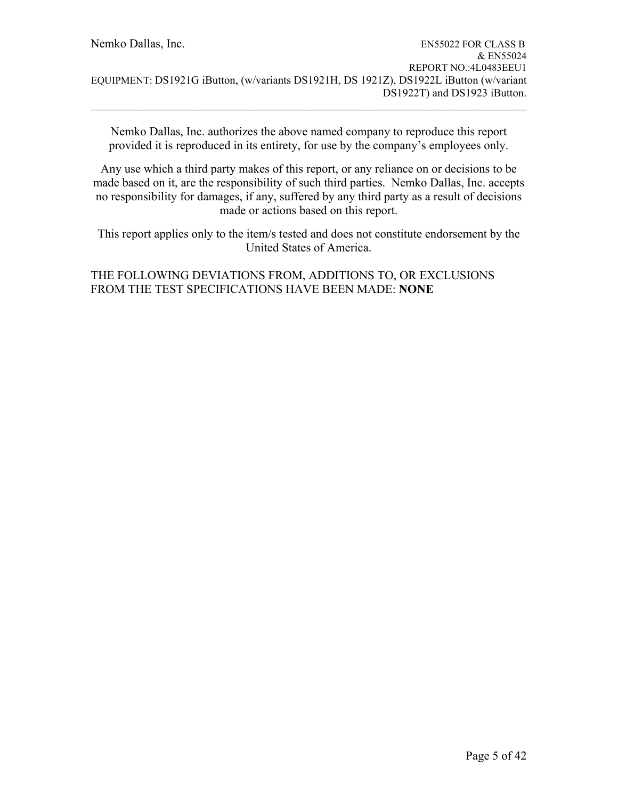Nemko Dallas, Inc. authorizes the above named company to reproduce this report provided it is reproduced in its entirety, for use by the company's employees only.

 $\mathcal{L}_\mathcal{L} = \{ \mathcal{L}_\mathcal{L} = \{ \mathcal{L}_\mathcal{L} = \{ \mathcal{L}_\mathcal{L} = \{ \mathcal{L}_\mathcal{L} = \{ \mathcal{L}_\mathcal{L} = \{ \mathcal{L}_\mathcal{L} = \{ \mathcal{L}_\mathcal{L} = \{ \mathcal{L}_\mathcal{L} = \{ \mathcal{L}_\mathcal{L} = \{ \mathcal{L}_\mathcal{L} = \{ \mathcal{L}_\mathcal{L} = \{ \mathcal{L}_\mathcal{L} = \{ \mathcal{L}_\mathcal{L} = \{ \mathcal{L}_\mathcal{$ 

Any use which a third party makes of this report, or any reliance on or decisions to be made based on it, are the responsibility of such third parties. Nemko Dallas, Inc. accepts no responsibility for damages, if any, suffered by any third party as a result of decisions made or actions based on this report.

This report applies only to the item/s tested and does not constitute endorsement by the United States of America.

## THE FOLLOWING DEVIATIONS FROM, ADDITIONS TO, OR EXCLUSIONS FROM THE TEST SPECIFICATIONS HAVE BEEN MADE: **NONE**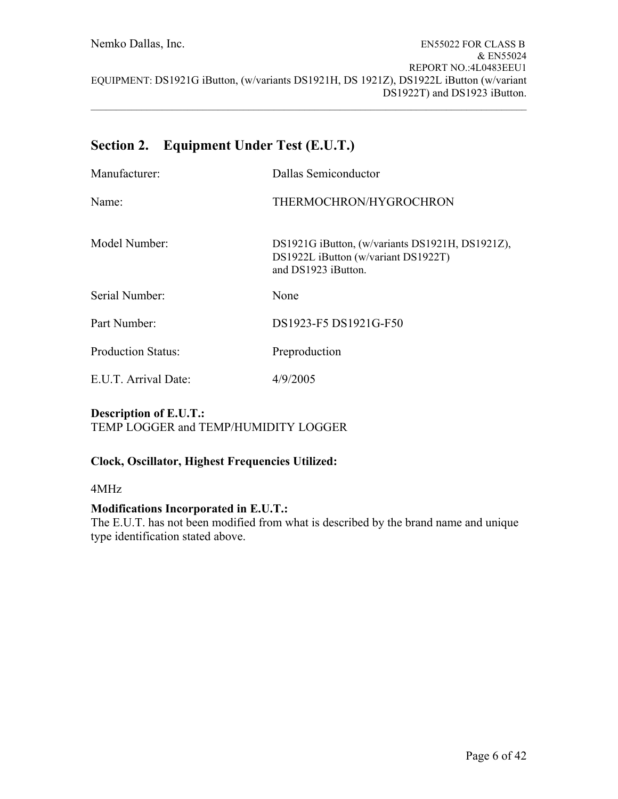# **Section 2. Equipment Under Test (E.U.T.)**

| Manufacturer:             | Dallas Semiconductor                                                                                          |
|---------------------------|---------------------------------------------------------------------------------------------------------------|
| Name <sup>.</sup>         | THERMOCHRON/HYGROCHRON                                                                                        |
| Model Number:             | DS1921G iButton, (w/variants DS1921H, DS1921Z),<br>DS1922L iButton (w/variant DS1922T)<br>and DS1923 iButton. |
| Serial Number:            | None                                                                                                          |
| Part Number:              | DS1923-F5 DS1921G-F50                                                                                         |
| <b>Production Status:</b> | Preproduction                                                                                                 |
| E.U.T. Arrival Date:      | 4/9/2005                                                                                                      |

### **Description of E.U.T.:**  TEMP LOGGER and TEMP/HUMIDITY LOGGER

### **Clock, Oscillator, Highest Frequencies Utilized:**

4MHz

### **Modifications Incorporated in E.U.T.:**

The E.U.T. has not been modified from what is described by the brand name and unique type identification stated above.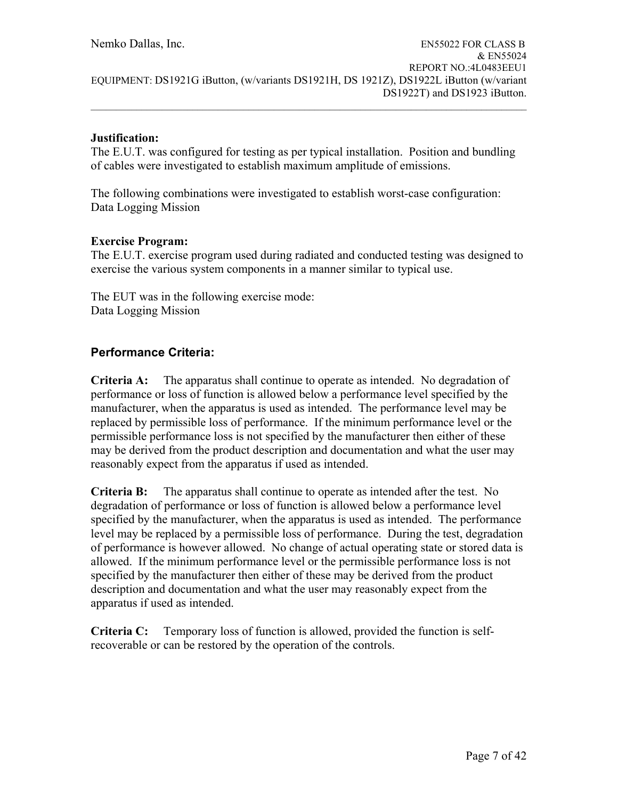### **Justification:**

The E.U.T. was configured for testing as per typical installation. Position and bundling of cables were investigated to establish maximum amplitude of emissions.

The following combinations were investigated to establish worst-case configuration: Data Logging Mission

### **Exercise Program:**

The E.U.T. exercise program used during radiated and conducted testing was designed to exercise the various system components in a manner similar to typical use.

The EUT was in the following exercise mode: Data Logging Mission

# **Performance Criteria:**

**Criteria A:** The apparatus shall continue to operate as intended. No degradation of performance or loss of function is allowed below a performance level specified by the manufacturer, when the apparatus is used as intended. The performance level may be replaced by permissible loss of performance. If the minimum performance level or the permissible performance loss is not specified by the manufacturer then either of these may be derived from the product description and documentation and what the user may reasonably expect from the apparatus if used as intended.

**Criteria B:** The apparatus shall continue to operate as intended after the test. No degradation of performance or loss of function is allowed below a performance level specified by the manufacturer, when the apparatus is used as intended. The performance level may be replaced by a permissible loss of performance. During the test, degradation of performance is however allowed. No change of actual operating state or stored data is allowed. If the minimum performance level or the permissible performance loss is not specified by the manufacturer then either of these may be derived from the product description and documentation and what the user may reasonably expect from the apparatus if used as intended.

**Criteria C:** Temporary loss of function is allowed, provided the function is selfrecoverable or can be restored by the operation of the controls.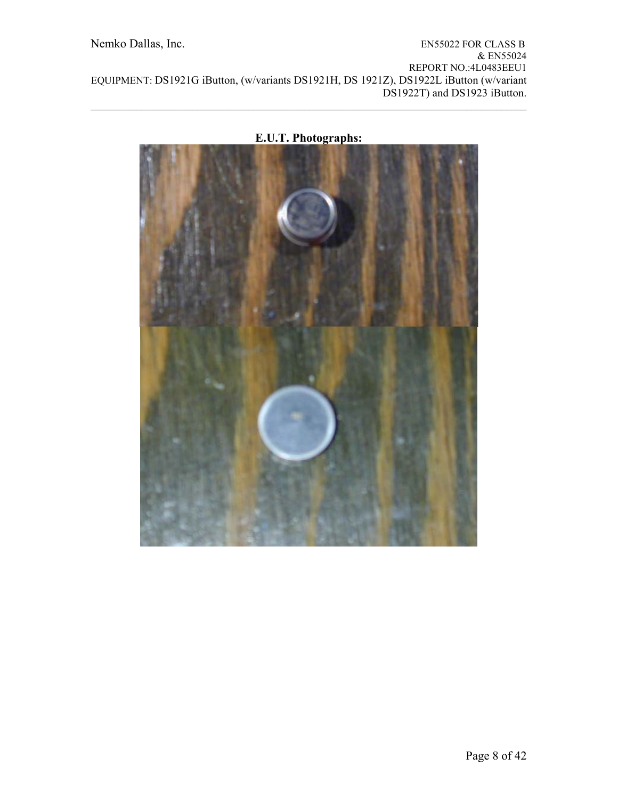

**E.U.T. Photographs:** 

 $\mathcal{L}_\mathcal{L} = \{ \mathcal{L}_\mathcal{L} = \{ \mathcal{L}_\mathcal{L} = \{ \mathcal{L}_\mathcal{L} = \{ \mathcal{L}_\mathcal{L} = \{ \mathcal{L}_\mathcal{L} = \{ \mathcal{L}_\mathcal{L} = \{ \mathcal{L}_\mathcal{L} = \{ \mathcal{L}_\mathcal{L} = \{ \mathcal{L}_\mathcal{L} = \{ \mathcal{L}_\mathcal{L} = \{ \mathcal{L}_\mathcal{L} = \{ \mathcal{L}_\mathcal{L} = \{ \mathcal{L}_\mathcal{L} = \{ \mathcal{L}_\mathcal{$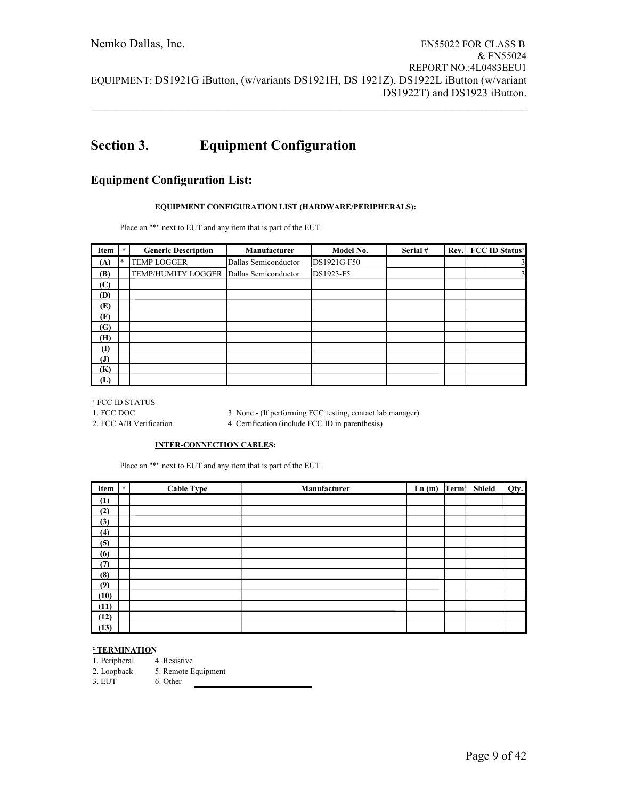# **Section 3. Equipment Configuration**

### **Equipment Configuration List:**

#### **EQUIPMENT CONFIGURATION LIST (HARDWARE/PERIPHERALS):**

Place an "\*" next to EUT and any item that is part of the EUT.

| Item         | $\star$ | <b>Generic Description</b>              | Manufacturer         | Model No.   | Serial# | Rev. | <b>FCC ID Status<sup>1</sup></b> |
|--------------|---------|-----------------------------------------|----------------------|-------------|---------|------|----------------------------------|
| (A)          | $\ast$  | <b>TEMP LOGGER</b>                      | Dallas Semiconductor | DS1921G-F50 |         |      | 3                                |
| (B)          |         | TEMP/HUMITY LOGGER Dallas Semiconductor |                      | DS1923-F5   |         |      | $\overline{\mathbf{3}}$          |
| (C)          |         |                                         |                      |             |         |      |                                  |
| (D)          |         |                                         |                      |             |         |      |                                  |
| (E)          |         |                                         |                      |             |         |      |                                  |
| (F)          |         |                                         |                      |             |         |      |                                  |
| (G)          |         |                                         |                      |             |         |      |                                  |
| (H)          |         |                                         |                      |             |         |      |                                  |
| $\mathbf{I}$ |         |                                         |                      |             |         |      |                                  |
| $\mathbf{J}$ |         |                                         |                      |             |         |      |                                  |
| (K)          |         |                                         |                      |             |         |      |                                  |
| (L)          |         |                                         |                      |             |         |      |                                  |

 $^1$  FCC ID STATUS

1. FCC DOC 3. None - (If performing FCC testing, contact lab manager) 2. FCC A/B Verification 4. Certification (include FCC ID in parenthesis)

#### **INTER-CONNECTION CABLES:**

Place an "\*" next to EUT and any item that is part of the EUT.

| Item | $\star$ | <b>Cable Type</b> | Manufacturer | Ln(m) | Term <sup>2</sup> | Shield | Qty. |
|------|---------|-------------------|--------------|-------|-------------------|--------|------|
| (1)  |         |                   |              |       |                   |        |      |
| (2)  |         |                   |              |       |                   |        |      |
| (3)  |         |                   |              |       |                   |        |      |
| (4)  |         |                   |              |       |                   |        |      |
| (5)  |         |                   |              |       |                   |        |      |
| (6)  |         |                   |              |       |                   |        |      |
| (7)  |         |                   |              |       |                   |        |      |
| (8)  |         |                   |              |       |                   |        |      |
| (9)  |         |                   |              |       |                   |        |      |
| (10) |         |                   |              |       |                   |        |      |
| (11) |         |                   |              |       |                   |        |      |
| (12) |         |                   |              |       |                   |        |      |
| (13) |         |                   |              |       |                   |        |      |

#### **² TERMINATION**

1. Peripheral 4. Resistive

2. Loopback 5. Remote Equipment

3. EUT 6. Other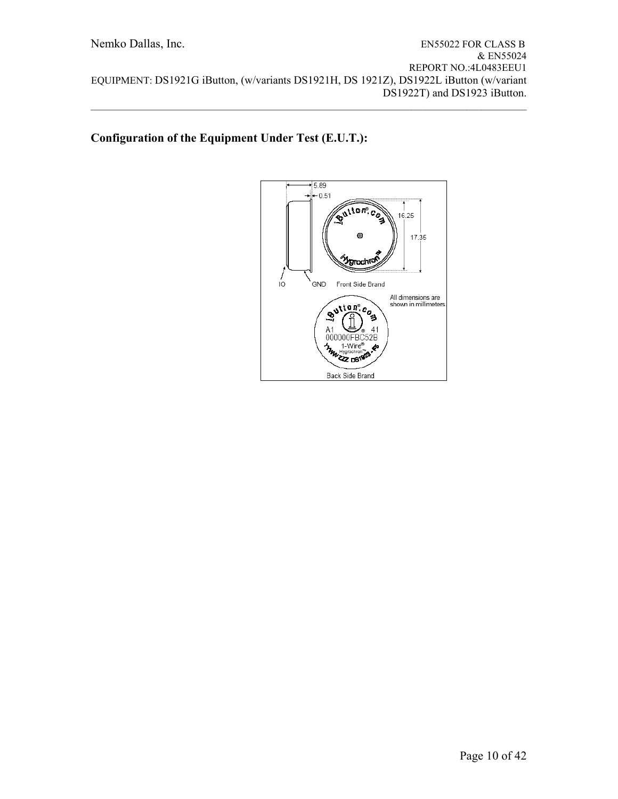# **Configuration of the Equipment Under Test (E.U.T.):**

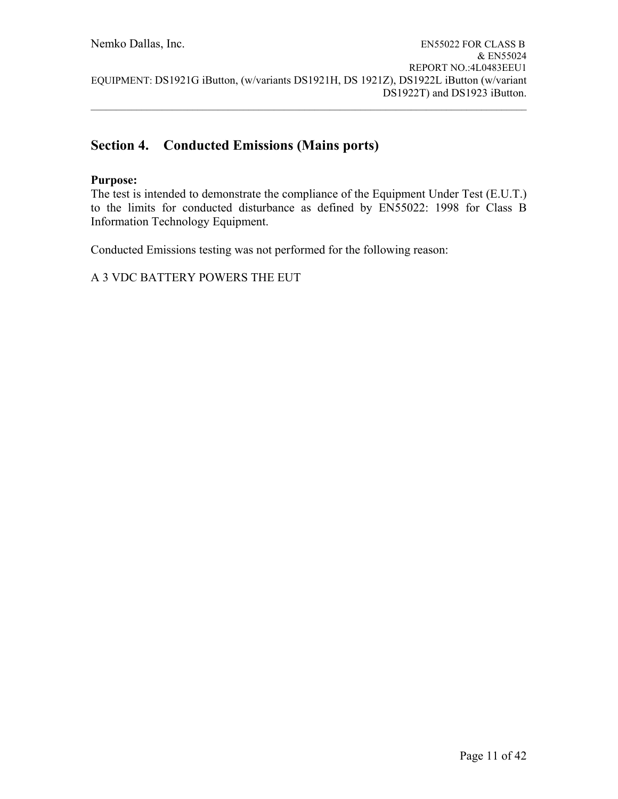$\mathcal{L}_\mathcal{L} = \{ \mathcal{L}_\mathcal{L} = \{ \mathcal{L}_\mathcal{L} = \{ \mathcal{L}_\mathcal{L} = \{ \mathcal{L}_\mathcal{L} = \{ \mathcal{L}_\mathcal{L} = \{ \mathcal{L}_\mathcal{L} = \{ \mathcal{L}_\mathcal{L} = \{ \mathcal{L}_\mathcal{L} = \{ \mathcal{L}_\mathcal{L} = \{ \mathcal{L}_\mathcal{L} = \{ \mathcal{L}_\mathcal{L} = \{ \mathcal{L}_\mathcal{L} = \{ \mathcal{L}_\mathcal{L} = \{ \mathcal{L}_\mathcal{$ 

# **Section 4. Conducted Emissions (Mains ports)**

### **Purpose:**

The test is intended to demonstrate the compliance of the Equipment Under Test (E.U.T.) to the limits for conducted disturbance as defined by EN55022: 1998 for Class B Information Technology Equipment.

Conducted Emissions testing was not performed for the following reason: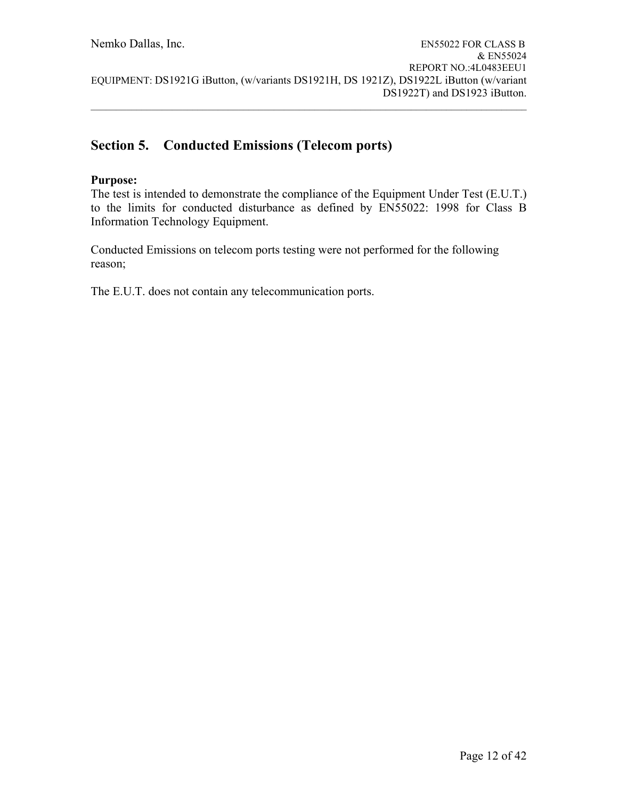# **Section 5. Conducted Emissions (Telecom ports)**

### **Purpose:**

The test is intended to demonstrate the compliance of the Equipment Under Test (E.U.T.) to the limits for conducted disturbance as defined by EN55022: 1998 for Class B Information Technology Equipment.

Conducted Emissions on telecom ports testing were not performed for the following reason;

The E.U.T. does not contain any telecommunication ports.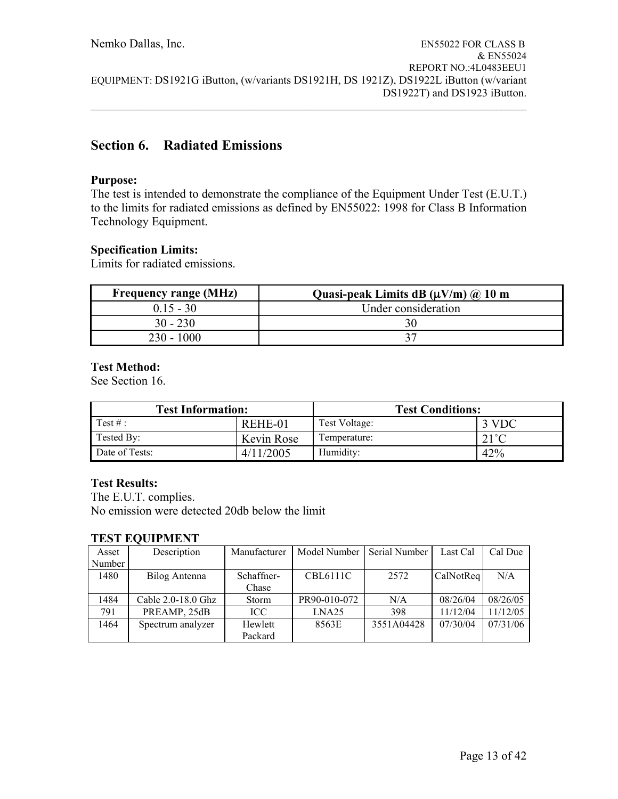# **Section 6. Radiated Emissions**

### **Purpose:**

The test is intended to demonstrate the compliance of the Equipment Under Test (E.U.T.) to the limits for radiated emissions as defined by EN55022: 1998 for Class B Information Technology Equipment.

### **Specification Limits:**

Limits for radiated emissions.

| <b>Frequency range (MHz)</b> | Quasi-peak Limits dB $(\mu V/m)$ @ 10 m |
|------------------------------|-----------------------------------------|
| $015 - 30$                   | Under consideration                     |
| $30 - 230$                   | 30                                      |
| $230 - 1000$                 |                                         |

### **Test Method:**

See Section 16.

| <b>Test Information:</b> |            | <b>Test Conditions:</b> |                |  |  |  |
|--------------------------|------------|-------------------------|----------------|--|--|--|
| Test #:                  | REHE-01    | Test Voltage:           | 3 VDC          |  |  |  |
| Tested By:               | Kevin Rose | Temperature:            | $21^{\circ}$ C |  |  |  |
| Date of Tests:           | 4/11/2005  | Humidity:               | 42%            |  |  |  |

### **Test Results:**

The E.U.T. complies. No emission were detected 20db below the limit

### **TEST EQUIPMENT**

| Asset  | Description        | Manufacturer | Model Number      | Serial Number | Last Cal  | Cal Due  |
|--------|--------------------|--------------|-------------------|---------------|-----------|----------|
| Number |                    |              |                   |               |           |          |
| 1480   | Bilog Antenna      | Schaffner-   | <b>CBL6111C</b>   | 2572          | CalNotReq | N/A      |
|        |                    | Chase        |                   |               |           |          |
| 1484   | Cable 2.0-18.0 Ghz | <b>Storm</b> | PR90-010-072      | N/A           | 08/26/04  | 08/26/05 |
| 791    | PREAMP, 25dB       | ICC          | LNA <sub>25</sub> | 398           | 11/12/04  | 11/12/05 |
| 1464   | Spectrum analyzer  | Hewlett      | 8563E             | 3551A04428    | 07/30/04  | 07/31/06 |
|        |                    | Packard      |                   |               |           |          |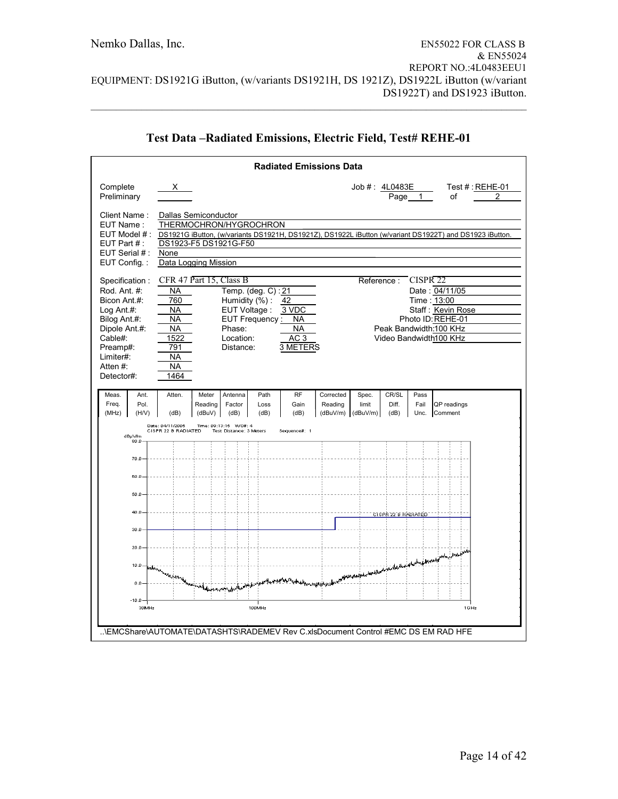|                                                                                                                                                                                                                                                                                                                                                                                                                                                                                                                                                                                                                                          |                                         |                                                                                                 | <b>Radiated Emissions Data</b> |                    |                                  |                                                                                                          |                        |                      |                                                                                                         |   |
|------------------------------------------------------------------------------------------------------------------------------------------------------------------------------------------------------------------------------------------------------------------------------------------------------------------------------------------------------------------------------------------------------------------------------------------------------------------------------------------------------------------------------------------------------------------------------------------------------------------------------------------|-----------------------------------------|-------------------------------------------------------------------------------------------------|--------------------------------|--------------------|----------------------------------|----------------------------------------------------------------------------------------------------------|------------------------|----------------------|---------------------------------------------------------------------------------------------------------|---|
| Complete<br>Preliminary                                                                                                                                                                                                                                                                                                                                                                                                                                                                                                                                                                                                                  | X.                                      |                                                                                                 |                                |                    |                                  | Job #: 4L0483E                                                                                           | Page_                  | 1                    | Test $#$ : REHE-01<br>οf                                                                                | 2 |
| Client Name:<br>EUT Name:<br>EUT Model # :<br>EUT Part $#$ :<br>EUT Serial #:<br>EUT Config.:                                                                                                                                                                                                                                                                                                                                                                                                                                                                                                                                            | None                                    | Dallas Semiconductor<br>THERMOCHRON/HYGROCHRON<br>DS1923-F5 DS1921G-F50<br>Data Logging Mission |                                |                    |                                  |                                                                                                          |                        |                      | DS1921G iButton, (w/variants DS1921H, DS1921Z), DS1922L iButton (w/variant DS1922T) and DS1923 iButton. |   |
| CFR 47 Part 15, Class B<br>CISPR <sub>22</sub><br>Specification:<br>Reference:<br>Rod. Ant. #:<br>Temp. (deg. C): 21<br>Date: 04/11/05<br><b>NA</b><br>Bicon Ant.#:<br>Humidity (%):<br>Time: 13:00<br>760<br>42<br>Staff: Kevin Rose<br>Log Ant $#$ :<br>EUT Voltage:<br>3 VDC<br><b>NA</b><br>Photo ID: REHE-01<br>Bilog Ant.#:<br>EUT Frequency:<br>NA<br><b>NA</b><br><b>NA</b><br>Peak Bandwidth:100 KHz<br>Dipole Ant.#:<br><b>NA</b><br>Phase:<br>AC <sub>3</sub><br>Cable#:<br>1522<br>Location:<br>Video Bandwidth100 KHz<br>3 METERS<br>Preamp#:<br>791<br>Distance:<br>Limiter#:<br>NA<br>Atten#:<br>NA<br>Detector#:<br>1464 |                                         |                                                                                                 |                                |                    |                                  |                                                                                                          |                        |                      |                                                                                                         |   |
| Meas.<br>Ant.<br>Freq.<br>Pol.<br>(MHz)<br>(H/V)                                                                                                                                                                                                                                                                                                                                                                                                                                                                                                                                                                                         | Atten.<br>(dB)                          | Meter<br>Antenna<br>Reading<br>Factor<br>(dBuV)<br>(dB)                                         | Path<br>Loss<br>(dB)           | RF<br>Gain<br>(dB) | Corrected<br>Reading<br>(dBuV/m) | Spec.<br>limit<br>(dBuV/m)                                                                               | CR/SL<br>Diff.<br>(dB) | Pass<br>Fail<br>Unc. | QP readings<br>Comment                                                                                  |   |
| dBµ\//m<br>80.0                                                                                                                                                                                                                                                                                                                                                                                                                                                                                                                                                                                                                          | Date: 04/11/2005<br>CISPR 22 B RADIATED | Time: 09:13:15 WO#: 4<br>Test Distance: 3 Meters                                                |                                | Sequence#: 1       |                                  |                                                                                                          |                        |                      |                                                                                                         |   |
| 70.0                                                                                                                                                                                                                                                                                                                                                                                                                                                                                                                                                                                                                                     |                                         |                                                                                                 |                                |                    |                                  |                                                                                                          |                        |                      |                                                                                                         |   |
| 60.0<br>50.0                                                                                                                                                                                                                                                                                                                                                                                                                                                                                                                                                                                                                             |                                         |                                                                                                 |                                |                    |                                  |                                                                                                          |                        |                      |                                                                                                         |   |
| 40.0                                                                                                                                                                                                                                                                                                                                                                                                                                                                                                                                                                                                                                     |                                         |                                                                                                 |                                |                    |                                  |                                                                                                          | CISPR 22 B RADIATED    |                      |                                                                                                         |   |
| 30.0                                                                                                                                                                                                                                                                                                                                                                                                                                                                                                                                                                                                                                     |                                         |                                                                                                 |                                |                    |                                  |                                                                                                          |                        |                      |                                                                                                         |   |
| 20.0                                                                                                                                                                                                                                                                                                                                                                                                                                                                                                                                                                                                                                     |                                         |                                                                                                 |                                |                    |                                  |                                                                                                          |                        |                      |                                                                                                         |   |
| 10.0<br>n n                                                                                                                                                                                                                                                                                                                                                                                                                                                                                                                                                                                                                              | palaman nagyarang                       |                                                                                                 |                                |                    | wan <i>i kiti</i>                | بهابعد وبروانها والمستفيد المستقيد والمستعجب والمستعمل والمستعمل والمستعمل والمستعمل والمستعمل والمستعمل |                        |                      |                                                                                                         |   |
| $-10.0$                                                                                                                                                                                                                                                                                                                                                                                                                                                                                                                                                                                                                                  |                                         |                                                                                                 |                                |                    |                                  |                                                                                                          |                        |                      |                                                                                                         |   |
| 30MHz<br>\EMCShare\AUTOMATE\DATASHTS\RADEMEV Rev C.xlsDocument Control #EMC DS EM RAD HFE                                                                                                                                                                                                                                                                                                                                                                                                                                                                                                                                                |                                         |                                                                                                 | 100MHz                         |                    |                                  |                                                                                                          |                        |                      | 1 G Hz                                                                                                  |   |

# **Test Data –Radiated Emissions, Electric Field, Test# REHE-01**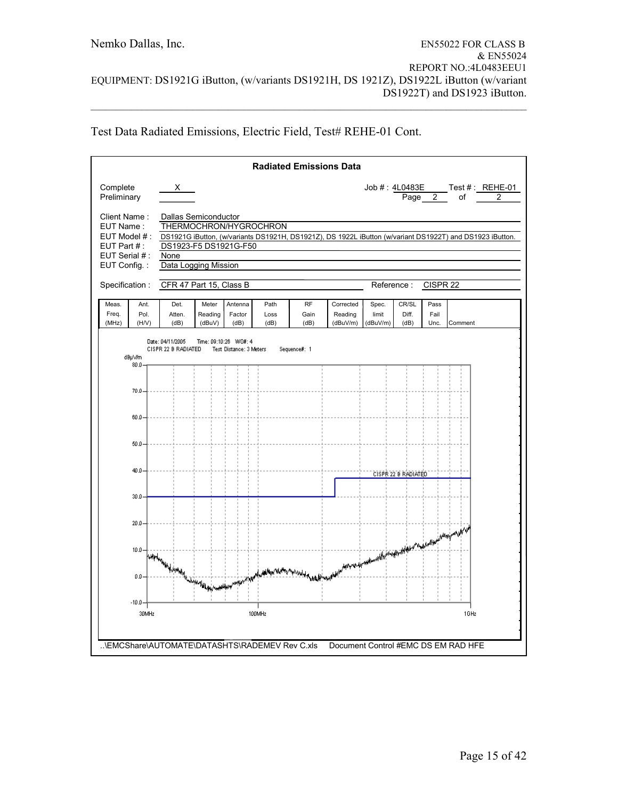| Test Data Radiated Emissions, Electric Field, Test# REHE-01 Cont. |  |  |
|-------------------------------------------------------------------|--|--|
|                                                                   |  |  |

|                                                                                              |                                               |                                                                               |                            |                                                  |                        | <b>Radiated Emissions Data</b> |                                                                                                        |                            |                        |                      |                                     |                                                                                                          |
|----------------------------------------------------------------------------------------------|-----------------------------------------------|-------------------------------------------------------------------------------|----------------------------|--------------------------------------------------|------------------------|--------------------------------|--------------------------------------------------------------------------------------------------------|----------------------------|------------------------|----------------------|-------------------------------------|----------------------------------------------------------------------------------------------------------|
| Complete<br>Preliminary                                                                      |                                               | $\mathsf{X}$                                                                  |                            |                                                  |                        |                                |                                                                                                        |                            |                        | Page 2               | of                                  | Job #: 4L0483E Test #: REHE-01<br>$\overline{2}$                                                         |
| Client Name:<br>EUT Name:<br>EUT Model #:<br>EUT Part $#$ :<br>EUT Serial #:<br>EUT Config.: |                                               | Dallas Semiconductor<br>DS1923-F5 DS1921G-F50<br>None<br>Data Logging Mission |                            |                                                  | THERMOCHRON/HYGROCHRON |                                |                                                                                                        |                            |                        |                      |                                     | DS1921G iButton, (w/variants DS1921H, DS1921Z), DS 1922L iButton (w/variant DS1922T) and DS1923 iButton. |
| Specification:                                                                               |                                               | CFR 47 Part 15, Class B                                                       |                            |                                                  |                        |                                |                                                                                                        | Reference:                 |                        | CISPR <sub>22</sub>  |                                     |                                                                                                          |
| Meas.<br>Freq.<br>(MHz)                                                                      | Ant.<br>Pol.<br>(H/V)                         | Det.<br>Atten.<br>(dB)                                                        | Meter<br>Reading<br>(dBuV) | Antenna<br>Factor<br>(dB)                        | Path<br>Loss<br>(dB)   | <b>RF</b><br>Gain<br>(dB)      | Corrected<br>Reading<br>(dBuV/m)                                                                       | Spec.<br>limit<br>(dBuV/m) | CR/SL<br>Diff.<br>(dB) | Pass<br>Fail<br>Unc. | Comment                             |                                                                                                          |
|                                                                                              | dBpWm<br>80.0<br>70.0<br>60.0<br>50.0<br>40.0 | Date: 04/11/2005<br>CISPR 22 B RADIATED                                       |                            | Time: 09:10:26 WO#: 4<br>Test Distance: 3 Meters |                        | Sequence#: 1                   |                                                                                                        |                            | CISPR 22 B RADIATED    |                      |                                     |                                                                                                          |
|                                                                                              | 30.0<br>20.0                                  |                                                                               |                            |                                                  |                        |                                |                                                                                                        |                            |                        |                      |                                     |                                                                                                          |
|                                                                                              | $10.0 -$<br>0.0                               | working was the more than the company with the                                |                            |                                                  |                        |                                | HARRE BY WELDER AND MORE WAS COMMUNISMENT OF COMMUNISMENT PROFILE THE REAL PROPERTY OF A REAL PROPERTY |                            |                        |                      |                                     |                                                                                                          |
|                                                                                              | $-10.0$                                       |                                                                               |                            |                                                  |                        |                                |                                                                                                        |                            |                        |                      |                                     |                                                                                                          |
|                                                                                              | 30MHz                                         |                                                                               |                            |                                                  | 100MHz                 |                                |                                                                                                        |                            |                        |                      | 1GHz                                |                                                                                                          |
|                                                                                              |                                               |                                                                               |                            |                                                  |                        |                                |                                                                                                        |                            |                        |                      | Document Control #EMC DS EM RAD HFE |                                                                                                          |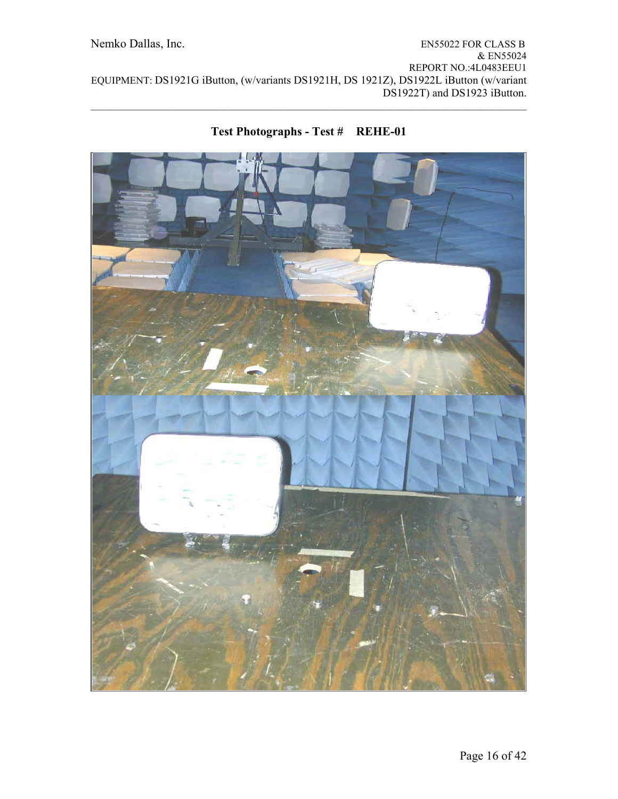

# **Test Photographs - Test # REHE-01**

 $\mathcal{L}_\mathcal{L} = \{ \mathcal{L}_\mathcal{L} = \{ \mathcal{L}_\mathcal{L} = \{ \mathcal{L}_\mathcal{L} = \{ \mathcal{L}_\mathcal{L} = \{ \mathcal{L}_\mathcal{L} = \{ \mathcal{L}_\mathcal{L} = \{ \mathcal{L}_\mathcal{L} = \{ \mathcal{L}_\mathcal{L} = \{ \mathcal{L}_\mathcal{L} = \{ \mathcal{L}_\mathcal{L} = \{ \mathcal{L}_\mathcal{L} = \{ \mathcal{L}_\mathcal{L} = \{ \mathcal{L}_\mathcal{L} = \{ \mathcal{L}_\mathcal{$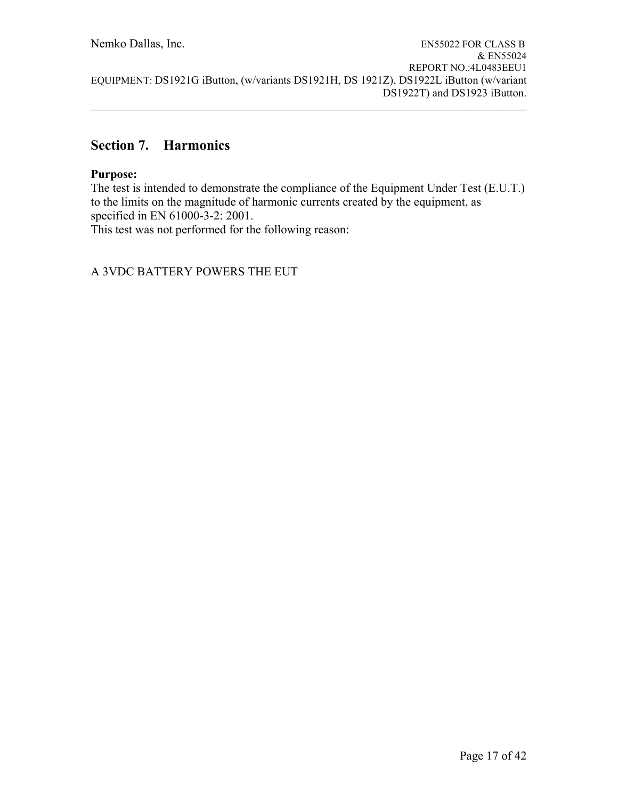# **Section 7. Harmonics**

# **Purpose:**

The test is intended to demonstrate the compliance of the Equipment Under Test (E.U.T.) to the limits on the magnitude of harmonic currents created by the equipment, as specified in EN 61000-3-2: 2001.

This test was not performed for the following reason: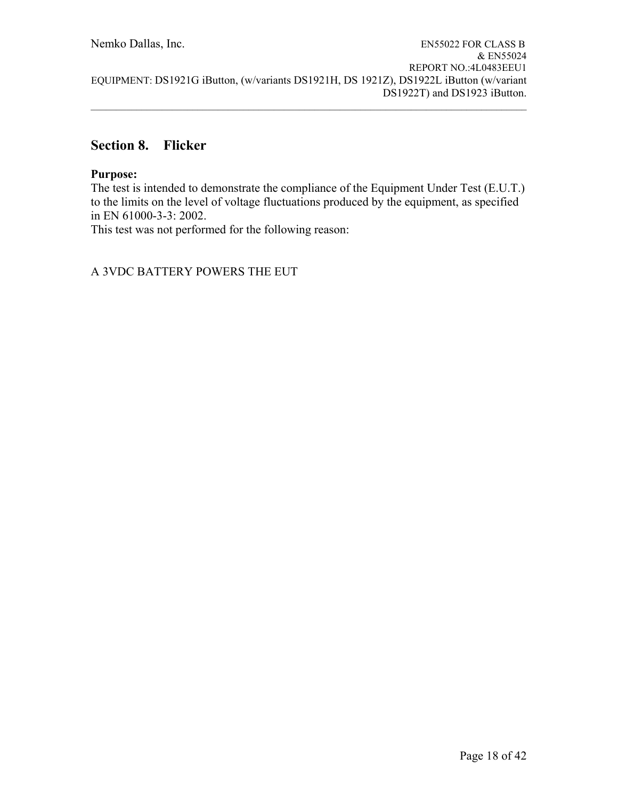# **Section 8. Flicker**

### **Purpose:**

The test is intended to demonstrate the compliance of the Equipment Under Test (E.U.T.) to the limits on the level of voltage fluctuations produced by the equipment, as specified in EN 61000-3-3: 2002.

This test was not performed for the following reason: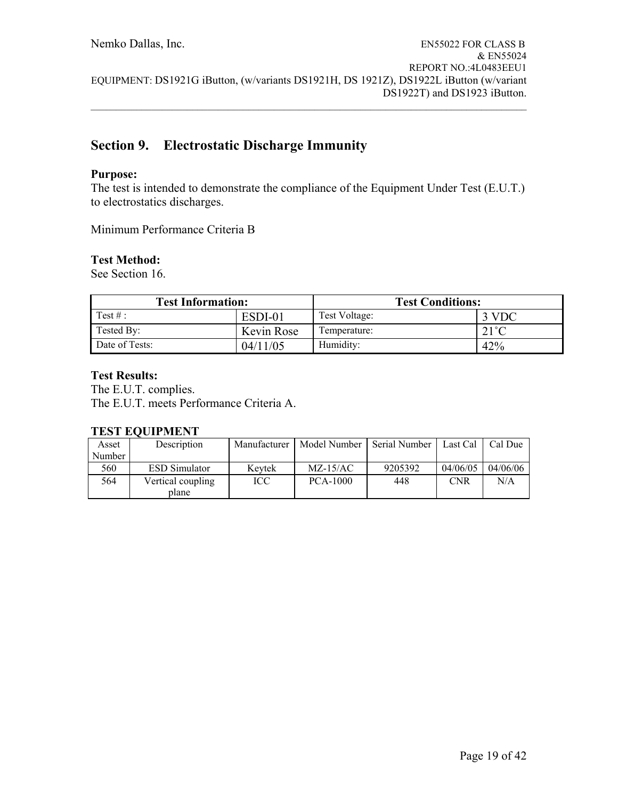# **Section 9. Electrostatic Discharge Immunity**

### **Purpose:**

The test is intended to demonstrate the compliance of the Equipment Under Test (E.U.T.) to electrostatics discharges.

Minimum Performance Criteria B

### **Test Method:**

See Section 16.

| <b>Test Information:</b> |            | <b>Test Conditions:</b> |                |  |
|--------------------------|------------|-------------------------|----------------|--|
| Test $\#$ :              | ESDI-01    | Test Voltage:           | 3 VDC          |  |
| Tested By:               | Kevin Rose | Temperature:            | $21^{\circ}$ C |  |
| Date of Tests:           | 04/11/05   | Humidity:               | 42%            |  |

### **Test Results:**

The E.U.T. complies. The E.U.T. meets Performance Criteria A.

#### **TEST EQUIPMENT**

| Asset  | Description                | Manufacturer | Model Number | Serial Number | Last Cal   | Cal Due  |
|--------|----------------------------|--------------|--------------|---------------|------------|----------|
| Number |                            |              |              |               |            |          |
| 560    | <b>ESD</b> Simulator       | Kevtek       | $MZ-15/AC$   | 9205392       | 04/06/05   | 04/06/06 |
| 564    | Vertical coupling<br>plane | ICC          | PCA-1000     | 448           | <b>CNR</b> | N/A      |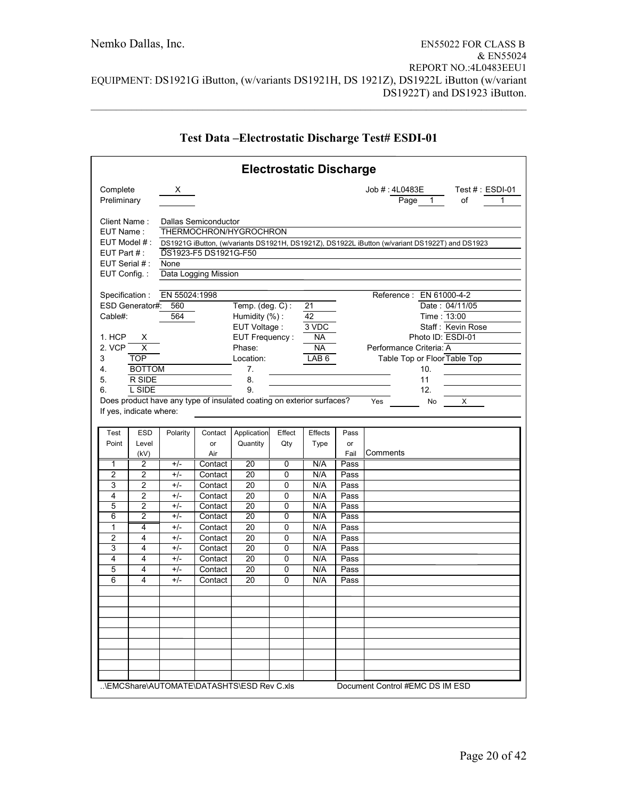|                                                                                                                                                                                              | <b>Electrostatic Discharge</b>                                                  |                                     |                                                                                                                                                                                                                                                                                                                                                                                                                                                                                                                                                                                                                                                              |                                           |               |                 |                    |                                                            |
|----------------------------------------------------------------------------------------------------------------------------------------------------------------------------------------------|---------------------------------------------------------------------------------|-------------------------------------|--------------------------------------------------------------------------------------------------------------------------------------------------------------------------------------------------------------------------------------------------------------------------------------------------------------------------------------------------------------------------------------------------------------------------------------------------------------------------------------------------------------------------------------------------------------------------------------------------------------------------------------------------------------|-------------------------------------------|---------------|-----------------|--------------------|------------------------------------------------------------|
| Complete<br>Preliminary                                                                                                                                                                      |                                                                                 | X                                   |                                                                                                                                                                                                                                                                                                                                                                                                                                                                                                                                                                                                                                                              |                                           |               |                 |                    | Job # : 4L0483E<br>Test $# : ESDI-01$<br>Page 1<br>of<br>1 |
| Client Name:<br>EUT Name:<br>$EUT$ Model $#$ :<br>EUT Part $#$ :<br>EUT Serial #:<br>EUT Config.:<br>Specification:<br>ESD Generator#:<br>Cable#:<br>1. HCP<br>2. VCP<br>3<br>4.<br>5.<br>6. | х<br>$\overline{\mathsf{x}}$<br><b>TOP</b><br><b>BOTTOM</b><br>R SIDE<br>L SIDE | None<br>EN 55024:1998<br>560<br>564 | Dallas Semiconductor<br>THERMOCHRON/HYGROCHRON<br>DS1921G iButton, (w/variants DS1921H, DS1921Z), DS1922L iButton (w/variant DS1922T) and DS1923<br>DS1923-F5 DS1921G-F50<br>Data Logging Mission<br>Reference: EN 61000-4-2<br>Date: 04/11/05<br>Temp. $(\text{deg. C})$ :<br>21<br>Time: 13:00<br>Humidity (%):<br>42<br>3 VDC<br>Staff: Kevin Rose<br>EUT Voltage :<br>Photo ID: ESDI-01<br>EUT Frequency:<br><b>NA</b><br><b>NA</b><br>Performance Criteria: A<br>Phase:<br>LAB <sub>6</sub><br>Table Top or Floor Table Top<br>Location:<br>7.<br>10.<br>8.<br>11<br>9.<br>12.<br>Does product have any type of insulated coating on exterior surfaces? |                                           |               |                 |                    |                                                            |
| If yes, indicate where:                                                                                                                                                                      |                                                                                 |                                     |                                                                                                                                                                                                                                                                                                                                                                                                                                                                                                                                                                                                                                                              |                                           |               |                 |                    | Yes<br>X<br>No                                             |
| Test<br>Point                                                                                                                                                                                | <b>ESD</b><br>Level<br>(kV)                                                     | Polarity                            | Contact<br>or<br>Air                                                                                                                                                                                                                                                                                                                                                                                                                                                                                                                                                                                                                                         | Application<br>Quantity                   | Effect<br>Qty | Effects<br>Type | Pass<br>or<br>Fail | Comments                                                   |
| 1                                                                                                                                                                                            | 2                                                                               | $+/-$                               | Contact                                                                                                                                                                                                                                                                                                                                                                                                                                                                                                                                                                                                                                                      | 20                                        | 0             | N/A             | Pass               |                                                            |
| $\overline{2}$                                                                                                                                                                               | $\overline{2}$                                                                  | $+/-$                               | Contact                                                                                                                                                                                                                                                                                                                                                                                                                                                                                                                                                                                                                                                      | 20                                        | 0             | N/A             | Pass               |                                                            |
| 3                                                                                                                                                                                            | $\overline{2}$                                                                  | $+/-$                               | Contact                                                                                                                                                                                                                                                                                                                                                                                                                                                                                                                                                                                                                                                      | 20                                        | $\mathbf 0$   | N/A             | Pass               |                                                            |
| 4                                                                                                                                                                                            | $\overline{2}$                                                                  | $+/-$                               | Contact                                                                                                                                                                                                                                                                                                                                                                                                                                                                                                                                                                                                                                                      | 20                                        | $\mathbf 0$   | N/A             | Pass               |                                                            |
| 5<br>6                                                                                                                                                                                       | $\overline{c}$<br>$\overline{2}$                                                | $+/-$<br>$+/-$                      | Contact<br>Contact                                                                                                                                                                                                                                                                                                                                                                                                                                                                                                                                                                                                                                           | 20<br>$\overline{20}$                     | 0<br>0        | N/A<br>N/A      | Pass<br>Pass       |                                                            |
| 1                                                                                                                                                                                            | 4                                                                               | $+/-$                               | Contact                                                                                                                                                                                                                                                                                                                                                                                                                                                                                                                                                                                                                                                      | 20                                        | 0             | N/A             | Pass               |                                                            |
| $\overline{2}$                                                                                                                                                                               | 4                                                                               | $+/-$                               | Contact                                                                                                                                                                                                                                                                                                                                                                                                                                                                                                                                                                                                                                                      | 20                                        | 0             | N/A             | Pass               |                                                            |
| 3                                                                                                                                                                                            | 4                                                                               | $+/-$                               | Contact                                                                                                                                                                                                                                                                                                                                                                                                                                                                                                                                                                                                                                                      | 20                                        | 0             | N/A             | Pass               |                                                            |
| $\overline{\mathbf{4}}$                                                                                                                                                                      | 4                                                                               | $+/-$                               | Contact                                                                                                                                                                                                                                                                                                                                                                                                                                                                                                                                                                                                                                                      | 20                                        | 0             | N/A             | Pass               |                                                            |
| 5                                                                                                                                                                                            | 4                                                                               | $+/-$                               | Contact                                                                                                                                                                                                                                                                                                                                                                                                                                                                                                                                                                                                                                                      | 20                                        | 0             | N/A             | Pass               |                                                            |
| 6                                                                                                                                                                                            | 4                                                                               | $+/-$                               | Contact                                                                                                                                                                                                                                                                                                                                                                                                                                                                                                                                                                                                                                                      | 20                                        | 0             | N/A             | Pass               |                                                            |
|                                                                                                                                                                                              |                                                                                 |                                     |                                                                                                                                                                                                                                                                                                                                                                                                                                                                                                                                                                                                                                                              |                                           |               |                 |                    |                                                            |
|                                                                                                                                                                                              |                                                                                 |                                     |                                                                                                                                                                                                                                                                                                                                                                                                                                                                                                                                                                                                                                                              |                                           |               |                 |                    |                                                            |
|                                                                                                                                                                                              |                                                                                 |                                     |                                                                                                                                                                                                                                                                                                                                                                                                                                                                                                                                                                                                                                                              |                                           |               |                 |                    |                                                            |
|                                                                                                                                                                                              |                                                                                 |                                     |                                                                                                                                                                                                                                                                                                                                                                                                                                                                                                                                                                                                                                                              |                                           |               |                 |                    |                                                            |
|                                                                                                                                                                                              |                                                                                 |                                     |                                                                                                                                                                                                                                                                                                                                                                                                                                                                                                                                                                                                                                                              | \EMCShare\AUTOMATE\DATASHTS\ESD Rev C.xls |               |                 |                    | Document Control #EMC DS IM ESD                            |

# **Test Data –Electrostatic Discharge Test# ESDI-01**

 $\mathcal{L}_\mathcal{L} = \{ \mathcal{L}_\mathcal{L} = \{ \mathcal{L}_\mathcal{L} = \{ \mathcal{L}_\mathcal{L} = \{ \mathcal{L}_\mathcal{L} = \{ \mathcal{L}_\mathcal{L} = \{ \mathcal{L}_\mathcal{L} = \{ \mathcal{L}_\mathcal{L} = \{ \mathcal{L}_\mathcal{L} = \{ \mathcal{L}_\mathcal{L} = \{ \mathcal{L}_\mathcal{L} = \{ \mathcal{L}_\mathcal{L} = \{ \mathcal{L}_\mathcal{L} = \{ \mathcal{L}_\mathcal{L} = \{ \mathcal{L}_\mathcal{$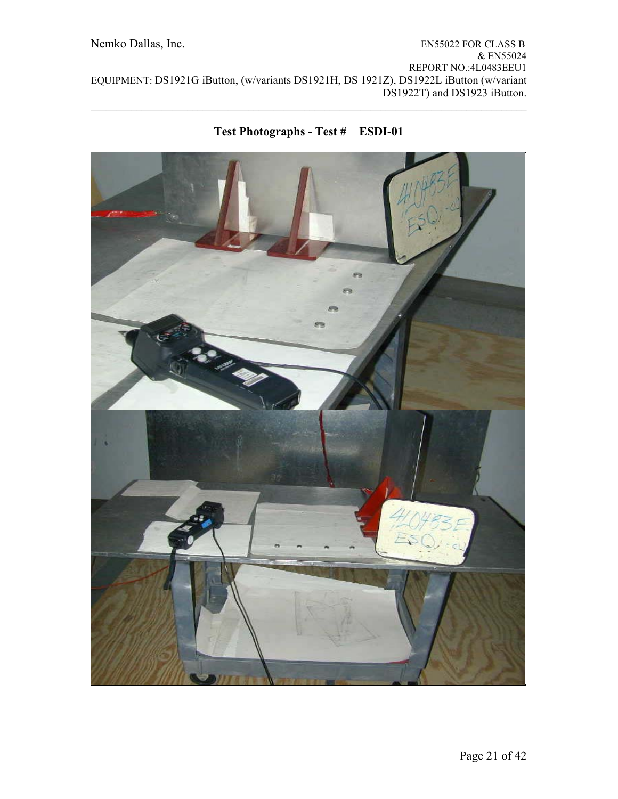

## **Test Photographs - Test # ESDI-01**

 $\mathcal{L}_\mathcal{L} = \{ \mathcal{L}_\mathcal{L} = \{ \mathcal{L}_\mathcal{L} = \{ \mathcal{L}_\mathcal{L} = \{ \mathcal{L}_\mathcal{L} = \{ \mathcal{L}_\mathcal{L} = \{ \mathcal{L}_\mathcal{L} = \{ \mathcal{L}_\mathcal{L} = \{ \mathcal{L}_\mathcal{L} = \{ \mathcal{L}_\mathcal{L} = \{ \mathcal{L}_\mathcal{L} = \{ \mathcal{L}_\mathcal{L} = \{ \mathcal{L}_\mathcal{L} = \{ \mathcal{L}_\mathcal{L} = \{ \mathcal{L}_\mathcal{$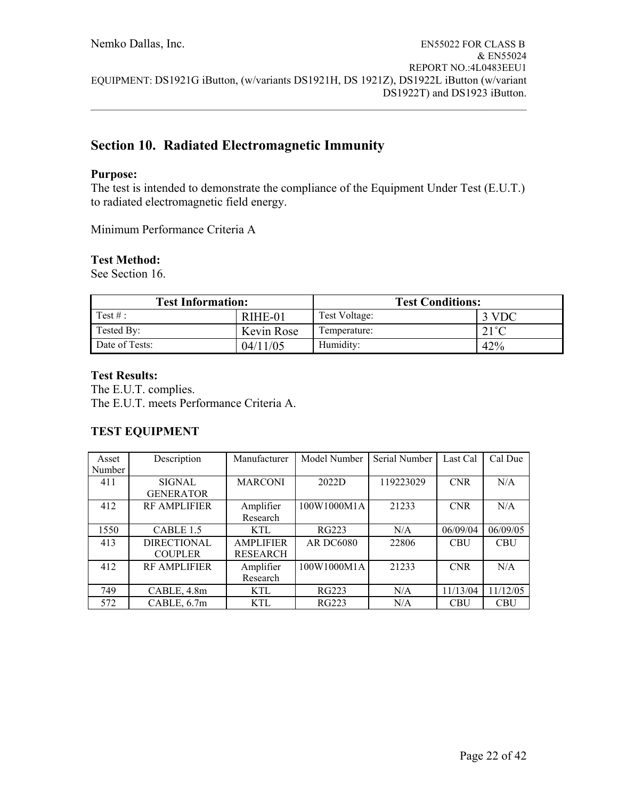# **Section 10. Radiated Electromagnetic Immunity**

### **Purpose:**

The test is intended to demonstrate the compliance of the Equipment Under Test (E.U.T.) to radiated electromagnetic field energy.

Minimum Performance Criteria A

### **Test Method:**

See Section 16.

| <b>Test Information:</b> |            | <b>Test Conditions:</b> |                |  |
|--------------------------|------------|-------------------------|----------------|--|
| Test $\#$ :              | RIHE-01    | Test Voltage:           | 3 VDC          |  |
| Tested By:               | Kevin Rose | Temperature:            | $21^{\circ}$ C |  |
| Date of Tests:           | 04/11/05   | Humidity:               | 42%            |  |

### **Test Results:**

The E.U.T. complies. The E.U.T. meets Performance Criteria A.

### **TEST EQUIPMENT**

| Asset  | Description         | Manufacturer     | Model Number     | Serial Number | Last Cal   | Cal Due    |
|--------|---------------------|------------------|------------------|---------------|------------|------------|
| Number |                     |                  |                  |               |            |            |
| 411    | <b>SIGNAL</b>       | <b>MARCONI</b>   | 2022D            | 119223029     | <b>CNR</b> | N/A        |
|        | <b>GENERATOR</b>    |                  |                  |               |            |            |
| 412    | <b>RF AMPLIFIER</b> | Amplifier        | 100W1000M1A      | 21233         | <b>CNR</b> | N/A        |
|        |                     | Research         |                  |               |            |            |
| 1550   | CABLE 1.5           | KTL              | <b>RG223</b>     | N/A           | 06/09/04   | 06/09/05   |
| 413    | <b>DIRECTIONAL</b>  | <b>AMPLIFIER</b> | <b>AR DC6080</b> | 22806         | <b>CBU</b> | <b>CBU</b> |
|        | <b>COUPLER</b>      | <b>RESEARCH</b>  |                  |               |            |            |
| 412    | <b>RF AMPLIFIER</b> | Amplifier        | 100W1000M1A      | 21233         | <b>CNR</b> | N/A        |
|        |                     | Research         |                  |               |            |            |
| 749    | CABLE, 4.8m         | KTL              | RG223            | N/A           | 11/13/04   | 11/12/05   |
| 572    | CABLE, 6.7m         | KTL              | RG223            | N/A           | <b>CBU</b> | <b>CBU</b> |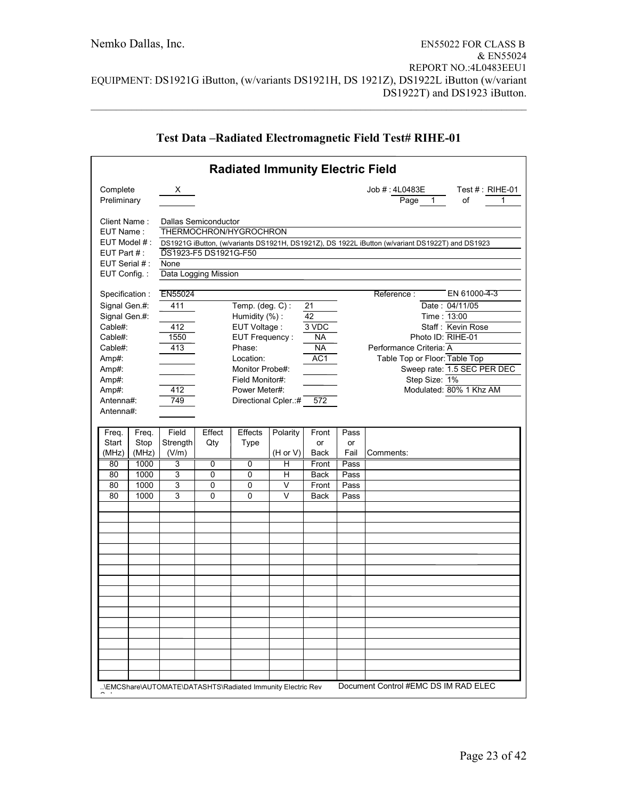|                                                 |                                                                                                                                                                                                                                                                                                                                                                                                                                                                                                                                                                                                                                                       |                            |                | <b>Radiated Immunity Electric Field</b>                    |                      |                     |                    |                                                                                                                                          |
|-------------------------------------------------|-------------------------------------------------------------------------------------------------------------------------------------------------------------------------------------------------------------------------------------------------------------------------------------------------------------------------------------------------------------------------------------------------------------------------------------------------------------------------------------------------------------------------------------------------------------------------------------------------------------------------------------------------------|----------------------------|----------------|------------------------------------------------------------|----------------------|---------------------|--------------------|------------------------------------------------------------------------------------------------------------------------------------------|
| Complete<br>Preliminary                         |                                                                                                                                                                                                                                                                                                                                                                                                                                                                                                                                                                                                                                                       | X.                         |                |                                                            |                      |                     |                    | Job # : 4L0483E<br>Test $#$ : RIHE-01<br>$\overline{\mathsf{Page}}$<br>οf<br>$1 \quad$<br>1                                              |
| Cable#:<br>Cable#:<br>Cable#:<br>Amp#:<br>Amp#: | Client Name:<br>Dallas Semiconductor<br>THERMOCHRON/HYGROCHRON<br>EUT Name:<br>EUT Model # :<br>DS1921G iButton, (w/variants DS1921H, DS1921Z), DS 1922L iButton (w/variant DS1922T) and DS1923<br>DS1923-F5 DS1921G-F50<br>EUT Part $#$ :<br>EUT Serial #:<br>None<br>Data Logging Mission<br>EUT Config.:<br>EN55024<br>Specification:<br>Reference:<br>Temp. (deg. $C$ ):<br>Signal Gen.#:<br>411<br>21<br>42<br>Time: 13:00<br>Signal Gen.#:<br>Humidity (%):<br>EUT Voltage :<br>3 VDC<br>412<br>EUT Frequency:<br><b>NA</b><br>1550<br>413<br><b>NA</b><br>Performance Criteria: A<br>Phase:<br>AC <sub>1</sub><br>Location:<br>Monitor Probe#: |                            |                |                                                            |                      |                     |                    | EN 61000-4-3<br>Date: 04/11/05<br>Staff: Kevin Rose<br>Photo ID: RIHE-01<br>Table Top or Floor: Table Top<br>Sweep rate: 1.5 SEC PER DEC |
| Amp#:<br>Amp#:<br>Antenna#:<br>Antenna#:        |                                                                                                                                                                                                                                                                                                                                                                                                                                                                                                                                                                                                                                                       | 412<br>749                 |                | Field Monitor#:<br>Power Meter#:<br>Directional Cpler.:#   |                      | 572                 |                    | Step Size: 1%<br>Modulated: 80% 1 Khz AM                                                                                                 |
| Freq.<br>Start<br>(MHz)                         | Freq.<br>Stop<br>(MHz)                                                                                                                                                                                                                                                                                                                                                                                                                                                                                                                                                                                                                                | Field<br>Strength<br>(V/m) | Effect<br>Qty  | Effects<br>Type                                            | Polarity<br>(H or V) | Front<br>or<br>Back | Pass<br>or<br>Fail | Comments:                                                                                                                                |
| 80                                              | 1000                                                                                                                                                                                                                                                                                                                                                                                                                                                                                                                                                                                                                                                  | 3                          | $\overline{0}$ | 0                                                          | н                    | Front               | Pass               |                                                                                                                                          |
| 80                                              | 1000                                                                                                                                                                                                                                                                                                                                                                                                                                                                                                                                                                                                                                                  | 3                          | 0              | 0                                                          | н                    | <b>Back</b>         | Pass               |                                                                                                                                          |
| 80                                              | 1000                                                                                                                                                                                                                                                                                                                                                                                                                                                                                                                                                                                                                                                  | 3                          | 0              | $\Omega$                                                   | V                    | Front               | Pass               |                                                                                                                                          |
| 80                                              | 1000                                                                                                                                                                                                                                                                                                                                                                                                                                                                                                                                                                                                                                                  | 3                          | 0              | $\Omega$                                                   | V                    | <b>Back</b>         | Pass               |                                                                                                                                          |
|                                                 |                                                                                                                                                                                                                                                                                                                                                                                                                                                                                                                                                                                                                                                       |                            |                |                                                            |                      |                     |                    |                                                                                                                                          |
|                                                 |                                                                                                                                                                                                                                                                                                                                                                                                                                                                                                                                                                                                                                                       |                            |                |                                                            |                      |                     |                    |                                                                                                                                          |
|                                                 |                                                                                                                                                                                                                                                                                                                                                                                                                                                                                                                                                                                                                                                       |                            |                |                                                            |                      |                     |                    |                                                                                                                                          |
|                                                 |                                                                                                                                                                                                                                                                                                                                                                                                                                                                                                                                                                                                                                                       |                            |                | \EMCShare\AUTOMATE\DATASHTS\Radiated Immunity Electric Rev |                      |                     |                    | Document Control #EMC DS IM RAD ELEC                                                                                                     |

# **Test Data –Radiated Electromagnetic Field Test# RIHE-01**

 $\mathcal{L}_\mathcal{L} = \{ \mathcal{L}_\mathcal{L} = \{ \mathcal{L}_\mathcal{L} = \{ \mathcal{L}_\mathcal{L} = \{ \mathcal{L}_\mathcal{L} = \{ \mathcal{L}_\mathcal{L} = \{ \mathcal{L}_\mathcal{L} = \{ \mathcal{L}_\mathcal{L} = \{ \mathcal{L}_\mathcal{L} = \{ \mathcal{L}_\mathcal{L} = \{ \mathcal{L}_\mathcal{L} = \{ \mathcal{L}_\mathcal{L} = \{ \mathcal{L}_\mathcal{L} = \{ \mathcal{L}_\mathcal{L} = \{ \mathcal{L}_\mathcal{$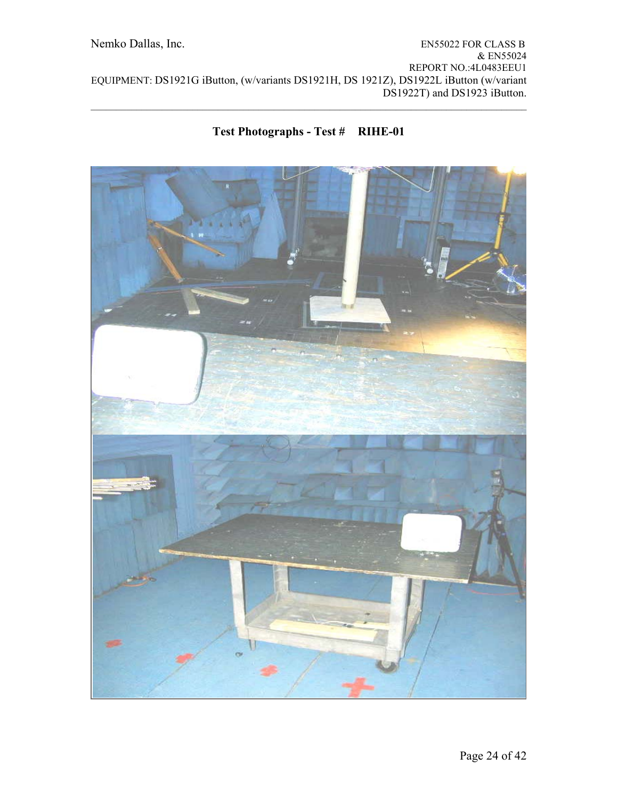# **Test Photographs - Test # RIHE-01**

 $\mathcal{L}_\mathcal{L} = \{ \mathcal{L}_\mathcal{L} = \{ \mathcal{L}_\mathcal{L} = \{ \mathcal{L}_\mathcal{L} = \{ \mathcal{L}_\mathcal{L} = \{ \mathcal{L}_\mathcal{L} = \{ \mathcal{L}_\mathcal{L} = \{ \mathcal{L}_\mathcal{L} = \{ \mathcal{L}_\mathcal{L} = \{ \mathcal{L}_\mathcal{L} = \{ \mathcal{L}_\mathcal{L} = \{ \mathcal{L}_\mathcal{L} = \{ \mathcal{L}_\mathcal{L} = \{ \mathcal{L}_\mathcal{L} = \{ \mathcal{L}_\mathcal{$ 

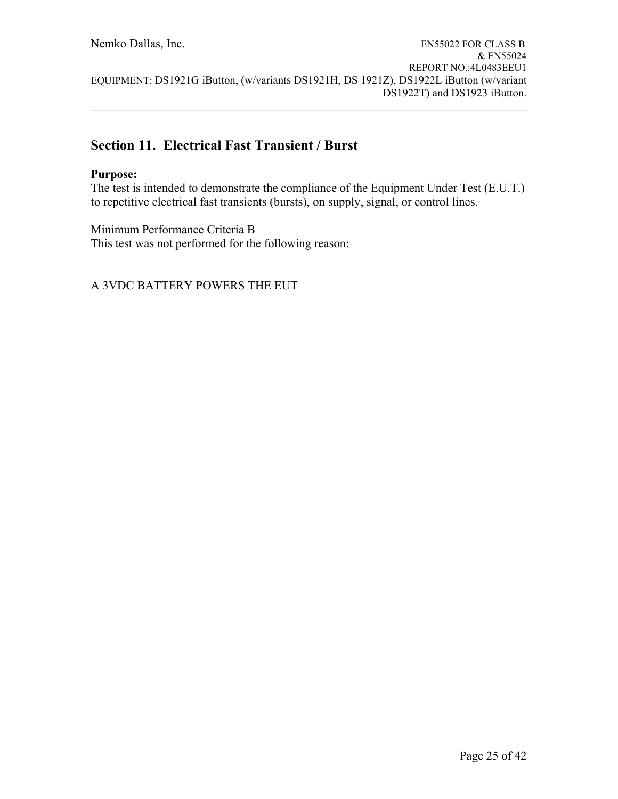$\mathcal{L}_\mathcal{L} = \{ \mathcal{L}_\mathcal{L} = \{ \mathcal{L}_\mathcal{L} = \{ \mathcal{L}_\mathcal{L} = \{ \mathcal{L}_\mathcal{L} = \{ \mathcal{L}_\mathcal{L} = \{ \mathcal{L}_\mathcal{L} = \{ \mathcal{L}_\mathcal{L} = \{ \mathcal{L}_\mathcal{L} = \{ \mathcal{L}_\mathcal{L} = \{ \mathcal{L}_\mathcal{L} = \{ \mathcal{L}_\mathcal{L} = \{ \mathcal{L}_\mathcal{L} = \{ \mathcal{L}_\mathcal{L} = \{ \mathcal{L}_\mathcal{$ 

# **Section 11. Electrical Fast Transient / Burst**

### **Purpose:**

The test is intended to demonstrate the compliance of the Equipment Under Test (E.U.T.) to repetitive electrical fast transients (bursts), on supply, signal, or control lines.

Minimum Performance Criteria B This test was not performed for the following reason: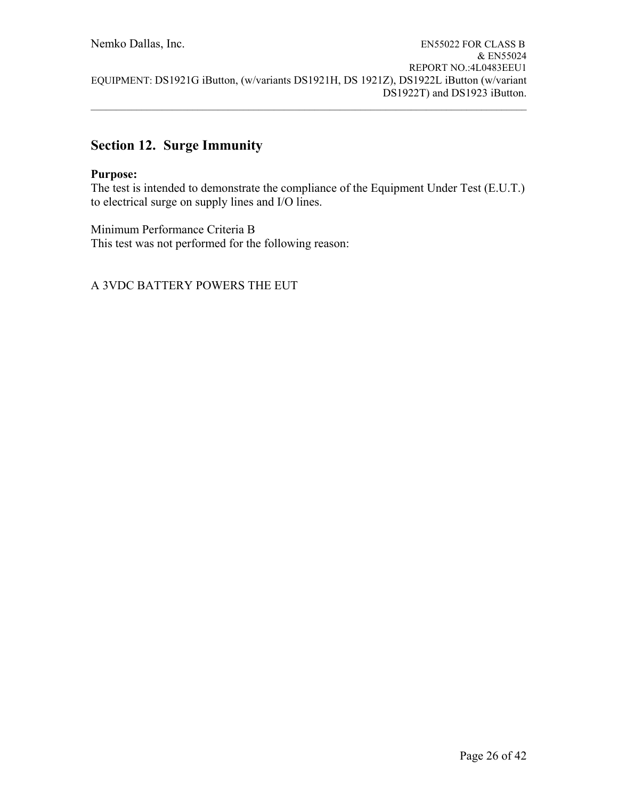$\mathcal{L}_\mathcal{L} = \{ \mathcal{L}_\mathcal{L} = \{ \mathcal{L}_\mathcal{L} = \{ \mathcal{L}_\mathcal{L} = \{ \mathcal{L}_\mathcal{L} = \{ \mathcal{L}_\mathcal{L} = \{ \mathcal{L}_\mathcal{L} = \{ \mathcal{L}_\mathcal{L} = \{ \mathcal{L}_\mathcal{L} = \{ \mathcal{L}_\mathcal{L} = \{ \mathcal{L}_\mathcal{L} = \{ \mathcal{L}_\mathcal{L} = \{ \mathcal{L}_\mathcal{L} = \{ \mathcal{L}_\mathcal{L} = \{ \mathcal{L}_\mathcal{$ 

# **Section 12. Surge Immunity**

#### **Purpose:**

The test is intended to demonstrate the compliance of the Equipment Under Test (E.U.T.) to electrical surge on supply lines and I/O lines.

Minimum Performance Criteria B This test was not performed for the following reason: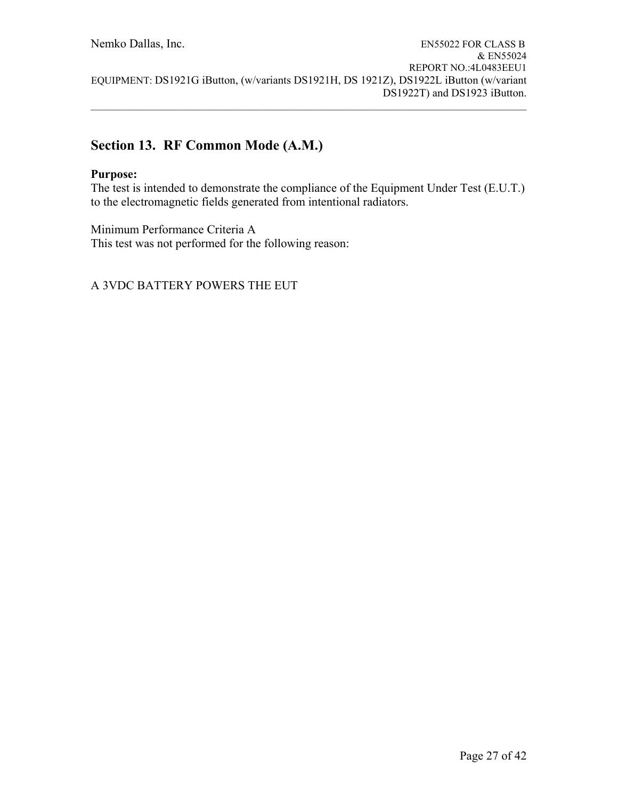$\mathcal{L}_\mathcal{L} = \{ \mathcal{L}_\mathcal{L} = \{ \mathcal{L}_\mathcal{L} = \{ \mathcal{L}_\mathcal{L} = \{ \mathcal{L}_\mathcal{L} = \{ \mathcal{L}_\mathcal{L} = \{ \mathcal{L}_\mathcal{L} = \{ \mathcal{L}_\mathcal{L} = \{ \mathcal{L}_\mathcal{L} = \{ \mathcal{L}_\mathcal{L} = \{ \mathcal{L}_\mathcal{L} = \{ \mathcal{L}_\mathcal{L} = \{ \mathcal{L}_\mathcal{L} = \{ \mathcal{L}_\mathcal{L} = \{ \mathcal{L}_\mathcal{$ 

# **Section 13. RF Common Mode (A.M.)**

### **Purpose:**

The test is intended to demonstrate the compliance of the Equipment Under Test (E.U.T.) to the electromagnetic fields generated from intentional radiators.

Minimum Performance Criteria A This test was not performed for the following reason: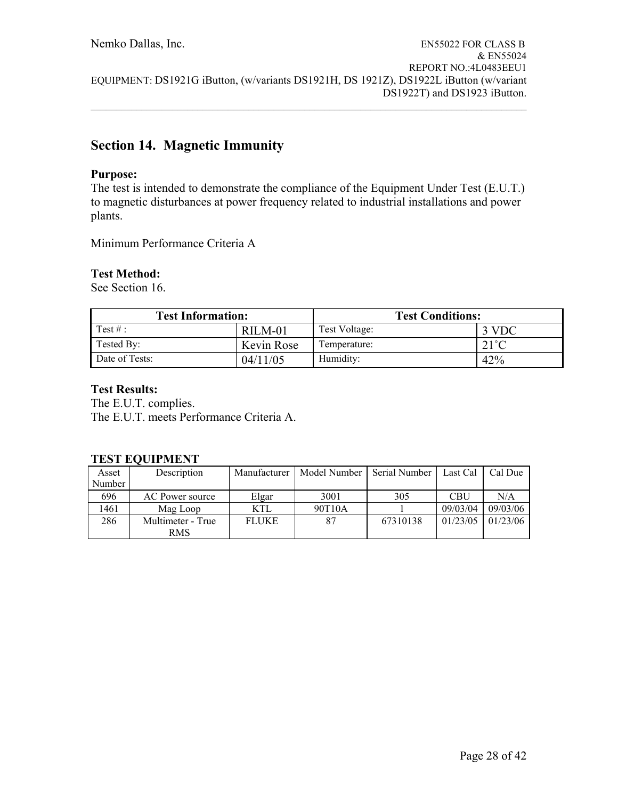$\mathcal{L}_\mathcal{L} = \{ \mathcal{L}_\mathcal{L} = \{ \mathcal{L}_\mathcal{L} = \{ \mathcal{L}_\mathcal{L} = \{ \mathcal{L}_\mathcal{L} = \{ \mathcal{L}_\mathcal{L} = \{ \mathcal{L}_\mathcal{L} = \{ \mathcal{L}_\mathcal{L} = \{ \mathcal{L}_\mathcal{L} = \{ \mathcal{L}_\mathcal{L} = \{ \mathcal{L}_\mathcal{L} = \{ \mathcal{L}_\mathcal{L} = \{ \mathcal{L}_\mathcal{L} = \{ \mathcal{L}_\mathcal{L} = \{ \mathcal{L}_\mathcal{$ 

# **Section 14. Magnetic Immunity**

#### **Purpose:**

The test is intended to demonstrate the compliance of the Equipment Under Test (E.U.T.) to magnetic disturbances at power frequency related to industrial installations and power plants.

Minimum Performance Criteria A

#### **Test Method:**

See Section 16.

| <b>Test Information:</b> |            | <b>Test Conditions:</b> |                |  |
|--------------------------|------------|-------------------------|----------------|--|
| Test $#$ :               | RILM-01    | Test Voltage:           | 3 VDC          |  |
| Tested By:               | Kevin Rose | Temperature:            | $21^{\circ}$ C |  |
| Date of Tests:           | 04/11/05   | Humidity:               | 42%            |  |

#### **Test Results:**

The E.U.T. complies. The E.U.T. meets Performance Criteria A.

#### **TEST EQUIPMENT**

| Asset  | Description       | Manufacturer | Model Number | Serial Number | Last Cal | Cal Due  |
|--------|-------------------|--------------|--------------|---------------|----------|----------|
| Number |                   |              |              |               |          |          |
| 696    | AC Power source   | Elgar        | 3001         | 305           | CBU      | N/A      |
| 1461   | Mag Loop          | KTL          | 90T10A       |               | 09/03/04 | 09/03/06 |
| 286    | Multimeter - True | <b>FLUKE</b> | 87           | 67310138      | 01/23/05 | 01/23/06 |
|        | RMS               |              |              |               |          |          |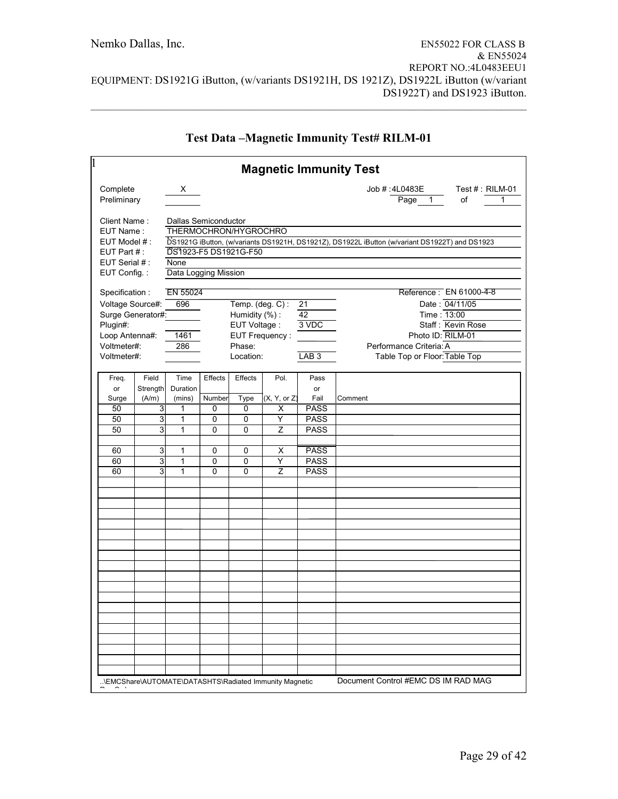| 1                                                                                                 |                                                 | <b>Magnetic Immunity Test</b>                                                                       |                                           |                                                                                                                                     |
|---------------------------------------------------------------------------------------------------|-------------------------------------------------|-----------------------------------------------------------------------------------------------------|-------------------------------------------|-------------------------------------------------------------------------------------------------------------------------------------|
| Complete<br>Preliminary                                                                           | $x_{\underline{\hspace{1cm}}\phantom{1}}$       |                                                                                                     |                                           | Job #:4L0483E<br>Test #: RILM-01<br>of<br>$\overline{Page}$ 1<br>1                                                                  |
| Client Name:<br>EUT Name:<br>EUT Model #:<br>EUT Part $#$ :                                       | Dallas Semiconductor<br>DS1923-F5 DS1921G-F50   | THERMOCHRON/HYGROCHRO                                                                               |                                           | DS1921G iButton, (w/variants DS1921H, DS1921Z), DS1922L iButton (w/variant DS1922T) and DS1923                                      |
| EUT Serial #:<br>EUT Config.:                                                                     | None<br>Data Logging Mission                    |                                                                                                     |                                           |                                                                                                                                     |
| Specification:                                                                                    | EN 55024                                        |                                                                                                     |                                           | Reference: EN 61000-4-8                                                                                                             |
| Voltage Source#:<br>Surge Generator#:<br>Plugin#:<br>Loop Antenna#:<br>Voltmeter#:<br>Voltmeter#: | 696<br>1461<br>286                              | Temp. $(\text{deg. C}):$<br>Humidity (%):<br>EUT Voltage :<br>EUT Frequency:<br>Phase:<br>Location: | 21<br>42<br>3 VDC<br>LAB <sub>3</sub>     | Date: 04/11/05<br>Time: 13:00<br>Staff: Kevin Rose<br>Photo ID: RILM-01<br>Performance Criteria: A<br>Table Top or Floor: Table Top |
| Field<br>Freq.<br>Strength<br>or<br>(A/m)<br>Surge                                                | Time<br>Effects<br>Duration<br>Number<br>(mins) | Effects<br>Pol.<br>Type<br>(X, Y, or Z)                                                             | Pass<br>or<br>Fail                        | Comment                                                                                                                             |
| 50<br>3<br>3<br>50<br>3<br>50                                                                     | 0<br>1<br>1<br>0<br>1<br>0                      | 0<br>х<br>0<br>Y<br>0<br>Z                                                                          | <b>PASS</b><br><b>PASS</b><br><b>PASS</b> |                                                                                                                                     |
| 3<br>60                                                                                           | 1<br>0                                          | 0<br>х                                                                                              | <b>PASS</b>                               |                                                                                                                                     |
| 3<br>60<br>3<br>60                                                                                | 0<br>1<br>1<br>$\Omega$                         | Ÿ<br>0<br>$\Omega$<br>Z                                                                             | <b>PASS</b><br><b>PASS</b>                |                                                                                                                                     |
|                                                                                                   |                                                 |                                                                                                     |                                           |                                                                                                                                     |
|                                                                                                   |                                                 |                                                                                                     |                                           |                                                                                                                                     |
|                                                                                                   |                                                 |                                                                                                     |                                           |                                                                                                                                     |
|                                                                                                   |                                                 |                                                                                                     |                                           |                                                                                                                                     |
|                                                                                                   |                                                 |                                                                                                     |                                           |                                                                                                                                     |
|                                                                                                   |                                                 |                                                                                                     |                                           |                                                                                                                                     |
|                                                                                                   |                                                 |                                                                                                     |                                           |                                                                                                                                     |
|                                                                                                   |                                                 |                                                                                                     |                                           |                                                                                                                                     |
|                                                                                                   |                                                 | \EMCShare\AUTOMATE\DATASHTS\Radiated Immunity Magnetic                                              |                                           | Document Control #EMC DS IM RAD MAG                                                                                                 |

## **Test Data –Magnetic Immunity Test# RILM-01**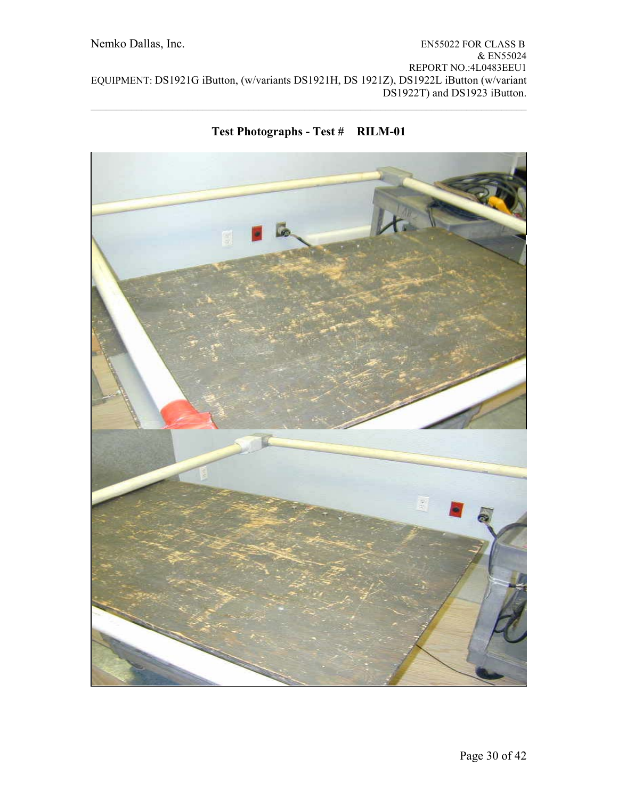

**Test Photographs - Test # RILM-01** 

 $\mathcal{L}_\mathcal{L} = \{ \mathcal{L}_\mathcal{L} = \{ \mathcal{L}_\mathcal{L} = \{ \mathcal{L}_\mathcal{L} = \{ \mathcal{L}_\mathcal{L} = \{ \mathcal{L}_\mathcal{L} = \{ \mathcal{L}_\mathcal{L} = \{ \mathcal{L}_\mathcal{L} = \{ \mathcal{L}_\mathcal{L} = \{ \mathcal{L}_\mathcal{L} = \{ \mathcal{L}_\mathcal{L} = \{ \mathcal{L}_\mathcal{L} = \{ \mathcal{L}_\mathcal{L} = \{ \mathcal{L}_\mathcal{L} = \{ \mathcal{L}_\mathcal{$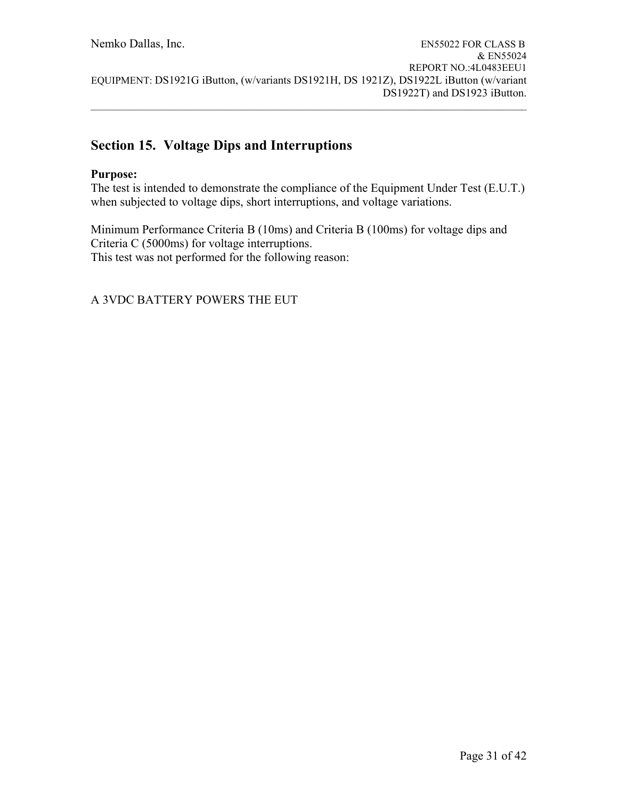$\mathcal{L}_\mathcal{L} = \{ \mathcal{L}_\mathcal{L} = \{ \mathcal{L}_\mathcal{L} = \{ \mathcal{L}_\mathcal{L} = \{ \mathcal{L}_\mathcal{L} = \{ \mathcal{L}_\mathcal{L} = \{ \mathcal{L}_\mathcal{L} = \{ \mathcal{L}_\mathcal{L} = \{ \mathcal{L}_\mathcal{L} = \{ \mathcal{L}_\mathcal{L} = \{ \mathcal{L}_\mathcal{L} = \{ \mathcal{L}_\mathcal{L} = \{ \mathcal{L}_\mathcal{L} = \{ \mathcal{L}_\mathcal{L} = \{ \mathcal{L}_\mathcal{$ 

# **Section 15. Voltage Dips and Interruptions**

### **Purpose:**

The test is intended to demonstrate the compliance of the Equipment Under Test (E.U.T.) when subjected to voltage dips, short interruptions, and voltage variations.

Minimum Performance Criteria B (10ms) and Criteria B (100ms) for voltage dips and Criteria C (5000ms) for voltage interruptions. This test was not performed for the following reason: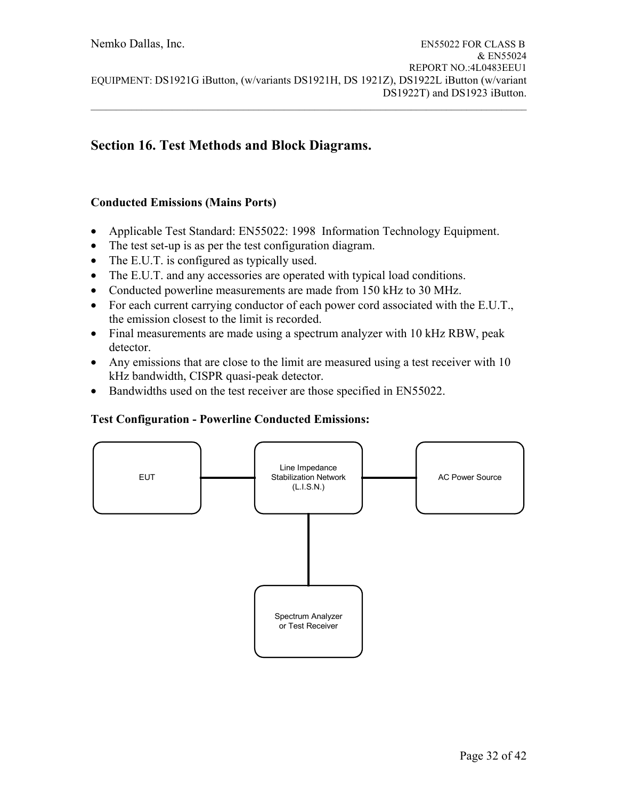# **Section 16. Test Methods and Block Diagrams.**

### **Conducted Emissions (Mains Ports)**

- Applicable Test Standard: EN55022: 1998 Information Technology Equipment.
- The test set-up is as per the test configuration diagram.
- The E.U.T. is configured as typically used.
- The E.U.T. and any accessories are operated with typical load conditions.
- Conducted powerline measurements are made from 150 kHz to 30 MHz.
- For each current carrying conductor of each power cord associated with the E.U.T., the emission closest to the limit is recorded.
- Final measurements are made using a spectrum analyzer with 10 kHz RBW, peak detector.
- Any emissions that are close to the limit are measured using a test receiver with 10 kHz bandwidth, CISPR quasi-peak detector.
- Bandwidths used on the test receiver are those specified in EN55022.

# **Test Configuration - Powerline Conducted Emissions:**

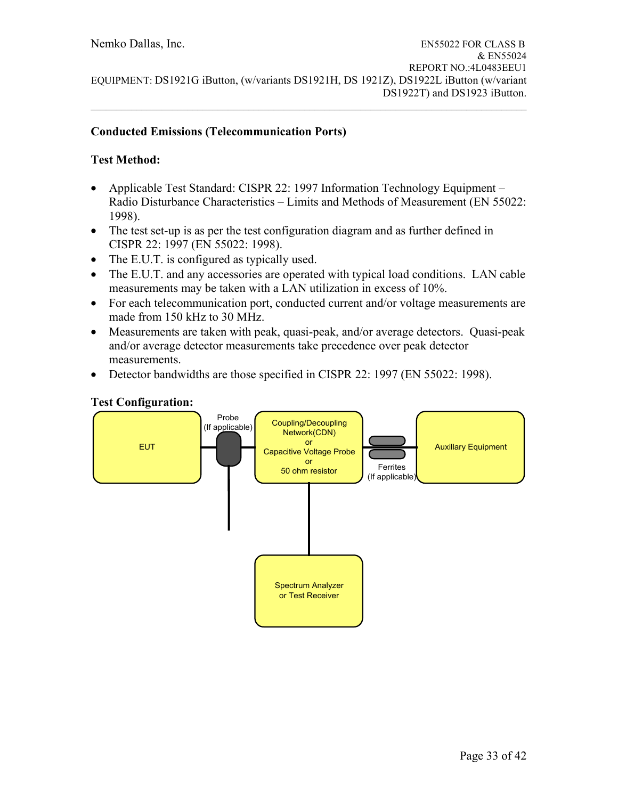### **Conducted Emissions (Telecommunication Ports)**

### **Test Method:**

- Applicable Test Standard: CISPR 22: 1997 Information Technology Equipment Radio Disturbance Characteristics – Limits and Methods of Measurement (EN 55022: 1998).
- The test set-up is as per the test configuration diagram and as further defined in CISPR 22: 1997 (EN 55022: 1998).
- The E.U.T. is configured as typically used.
- The E.U.T. and any accessories are operated with typical load conditions. LAN cable measurements may be taken with a LAN utilization in excess of 10%.
- For each telecommunication port, conducted current and/or voltage measurements are made from 150 kHz to 30 MHz.
- Measurements are taken with peak, quasi-peak, and/or average detectors. Quasi-peak and/or average detector measurements take precedence over peak detector measurements.
- Detector bandwidths are those specified in CISPR 22: 1997 (EN 55022: 1998).



#### **Test Configuration:**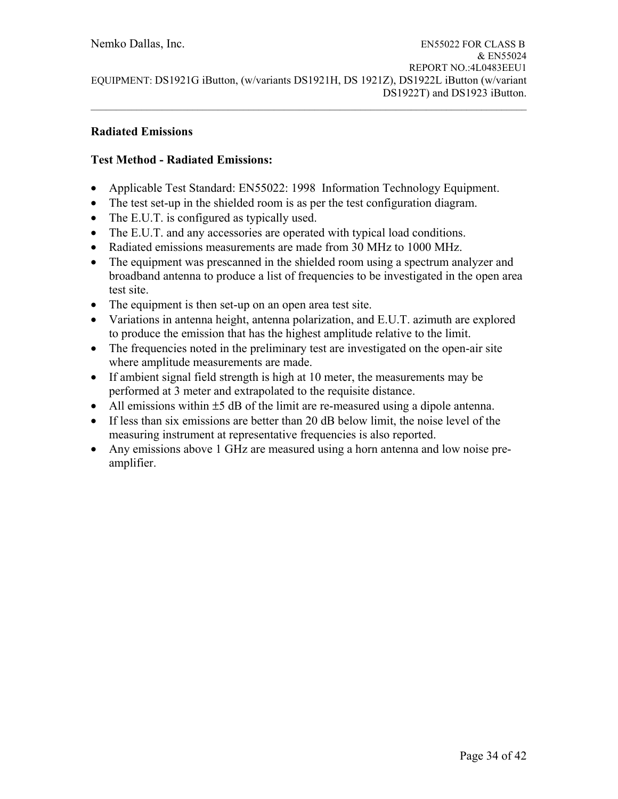#### **Radiated Emissions**

### **Test Method - Radiated Emissions:**

- Applicable Test Standard: EN55022: 1998 Information Technology Equipment.
- The test set-up in the shielded room is as per the test configuration diagram.
- The E.U.T. is configured as typically used.
- The E.U.T. and any accessories are operated with typical load conditions.
- Radiated emissions measurements are made from 30 MHz to 1000 MHz.
- The equipment was prescanned in the shielded room using a spectrum analyzer and broadband antenna to produce a list of frequencies to be investigated in the open area test site.
- The equipment is then set-up on an open area test site.
- Variations in antenna height, antenna polarization, and E.U.T. azimuth are explored to produce the emission that has the highest amplitude relative to the limit.
- The frequencies noted in the preliminary test are investigated on the open-air site where amplitude measurements are made.
- If ambient signal field strength is high at 10 meter, the measurements may be performed at 3 meter and extrapolated to the requisite distance.
- All emissions within  $\pm 5$  dB of the limit are re-measured using a dipole antenna.
- If less than six emissions are better than 20 dB below limit, the noise level of the measuring instrument at representative frequencies is also reported.
- Any emissions above 1 GHz are measured using a horn antenna and low noise preamplifier.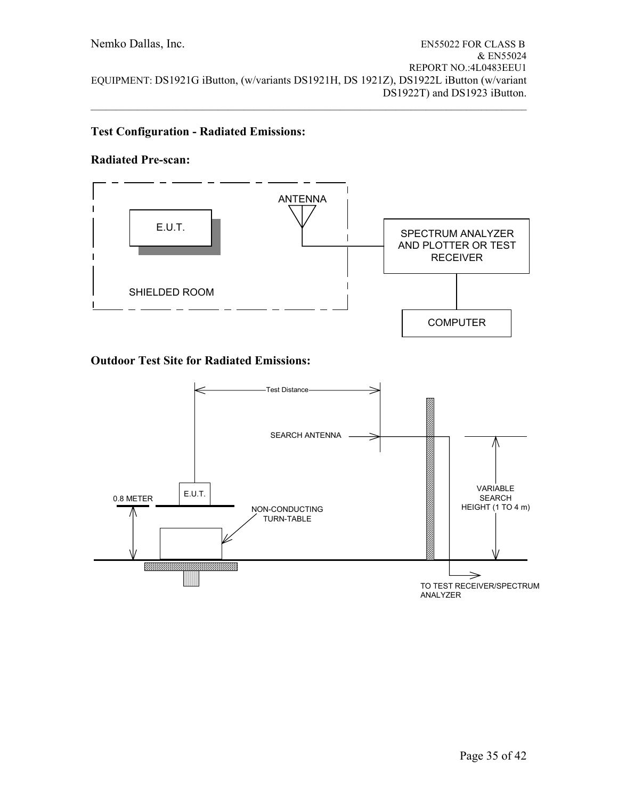$\mathcal{L}_\mathcal{L} = \{ \mathcal{L}_\mathcal{L} = \{ \mathcal{L}_\mathcal{L} = \{ \mathcal{L}_\mathcal{L} = \{ \mathcal{L}_\mathcal{L} = \{ \mathcal{L}_\mathcal{L} = \{ \mathcal{L}_\mathcal{L} = \{ \mathcal{L}_\mathcal{L} = \{ \mathcal{L}_\mathcal{L} = \{ \mathcal{L}_\mathcal{L} = \{ \mathcal{L}_\mathcal{L} = \{ \mathcal{L}_\mathcal{L} = \{ \mathcal{L}_\mathcal{L} = \{ \mathcal{L}_\mathcal{L} = \{ \mathcal{L}_\mathcal{$ 

### **Test Configuration - Radiated Emissions:**

#### **Radiated Pre-scan:**



## **Outdoor Test Site for Radiated Emissions:**

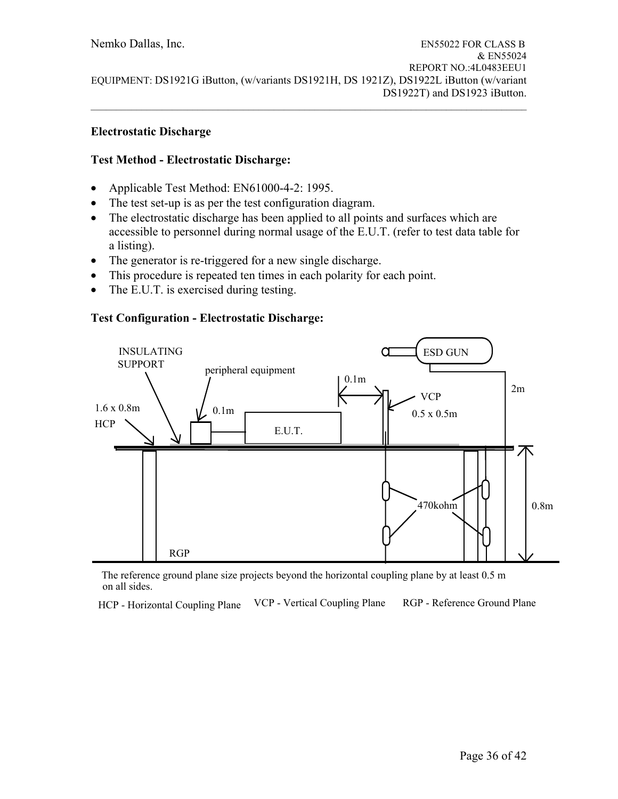### **Electrostatic Discharge**

### **Test Method - Electrostatic Discharge:**

- Applicable Test Method: EN61000-4-2: 1995.
- The test set-up is as per the test configuration diagram.
- The electrostatic discharge has been applied to all points and surfaces which are accessible to personnel during normal usage of the E.U.T. (refer to test data table for a listing).
- The generator is re-triggered for a new single discharge.
- This procedure is repeated ten times in each polarity for each point.
- The E.U.T. is exercised during testing.

### **Test Configuration - Electrostatic Discharge:**



The reference ground plane size projects beyond the horizontal coupling plane by at least 0.5 m on all sides.

HCP - Horizontal Coupling Plane VCP - Vertical Coupling Plane RGP - Reference Ground Plane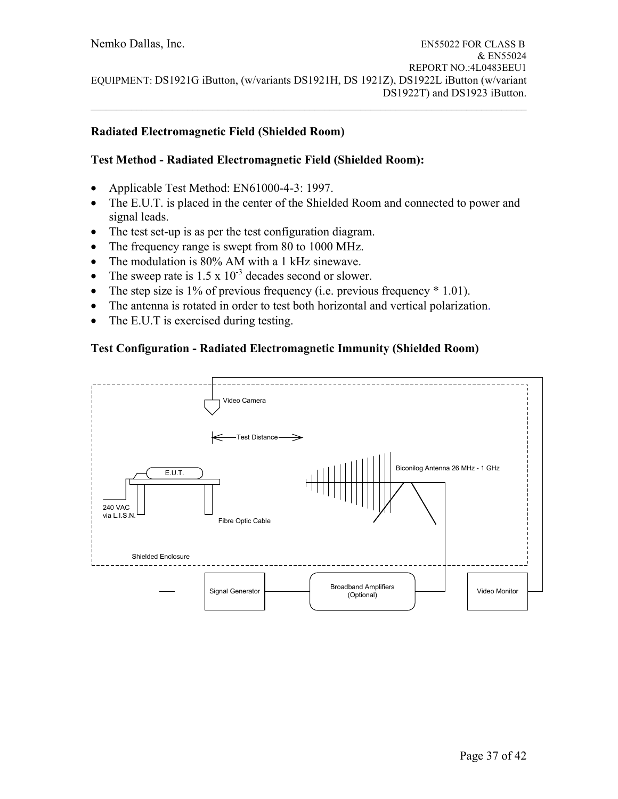### **Radiated Electromagnetic Field (Shielded Room)**

### **Test Method - Radiated Electromagnetic Field (Shielded Room):**

- Applicable Test Method: EN61000-4-3: 1997.
- The E.U.T. is placed in the center of the Shielded Room and connected to power and signal leads.
- The test set-up is as per the test configuration diagram.
- The frequency range is swept from 80 to 1000 MHz.
- The modulation is 80% AM with a 1 kHz sinewave.
- The sweep rate is  $1.5 \times 10^{-3}$  decades second or slower.
- The step size is 1% of previous frequency (i.e. previous frequency  $*$  1.01).
- The antenna is rotated in order to test both horizontal and vertical polarization.
- The E.U.T is exercised during testing.

### **Test Configuration - Radiated Electromagnetic Immunity (Shielded Room)**

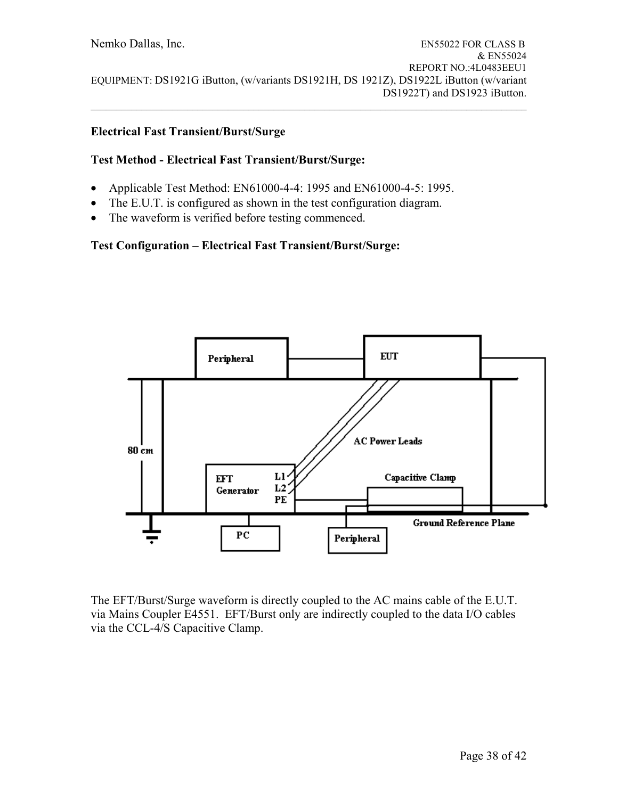### **Electrical Fast Transient/Burst/Surge**

### **Test Method - Electrical Fast Transient/Burst/Surge:**

- Applicable Test Method: EN61000-4-4: 1995 and EN61000-4-5: 1995.
- The E.U.T. is configured as shown in the test configuration diagram.
- The waveform is verified before testing commenced.

### **Test Configuration – Electrical Fast Transient/Burst/Surge:**



The EFT/Burst/Surge waveform is directly coupled to the AC mains cable of the E.U.T. via Mains Coupler E4551. EFT/Burst only are indirectly coupled to the data I/O cables via the CCL-4/S Capacitive Clamp.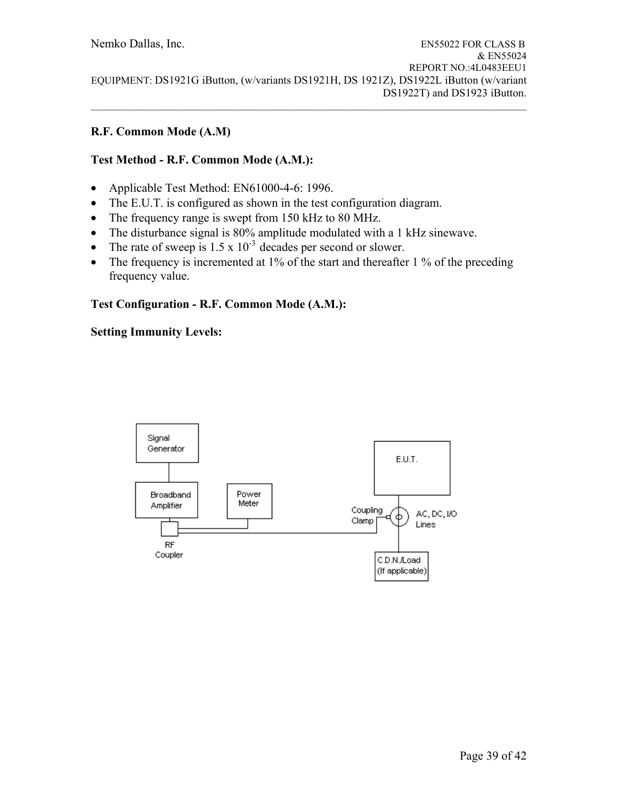### **R.F. Common Mode (A.M)**

# **Test Method - R.F. Common Mode (A.M.):**

- Applicable Test Method: EN61000-4-6: 1996.
- The E.U.T. is configured as shown in the test configuration diagram.
- The frequency range is swept from 150 kHz to 80 MHz.
- The disturbance signal is 80% amplitude modulated with a 1 kHz sinewave.
- The rate of sweep is  $1.5 \times 10^{-3}$  decades per second or slower.
- The frequency is incremented at 1% of the start and thereafter 1 % of the preceding frequency value.

### **Test Configuration - R.F. Common Mode (A.M.):**

### **Setting Immunity Levels:**

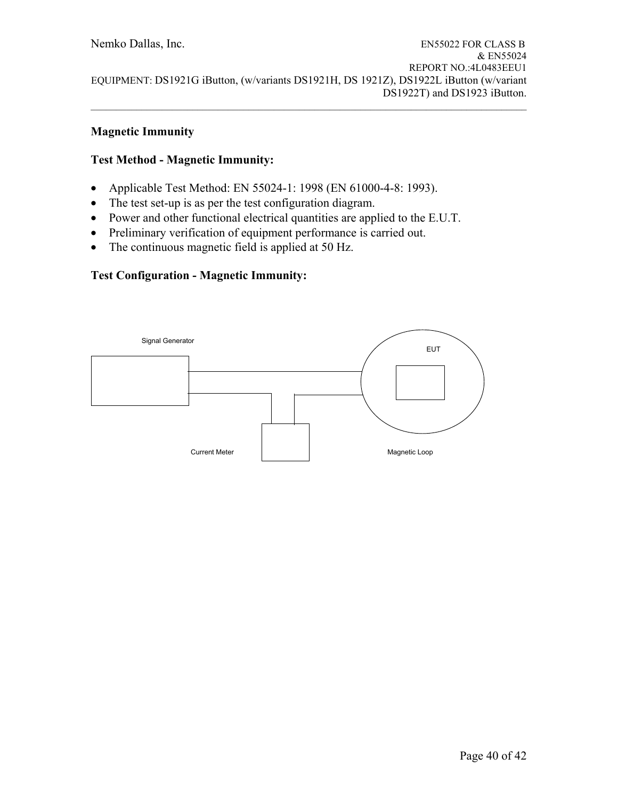### **Magnetic Immunity**

### **Test Method - Magnetic Immunity:**

- Applicable Test Method: EN 55024-1: 1998 (EN 61000-4-8: 1993).
- The test set-up is as per the test configuration diagram.
- Power and other functional electrical quantities are applied to the E.U.T.
- Preliminary verification of equipment performance is carried out.
- The continuous magnetic field is applied at 50 Hz.

### **Test Configuration - Magnetic Immunity:**

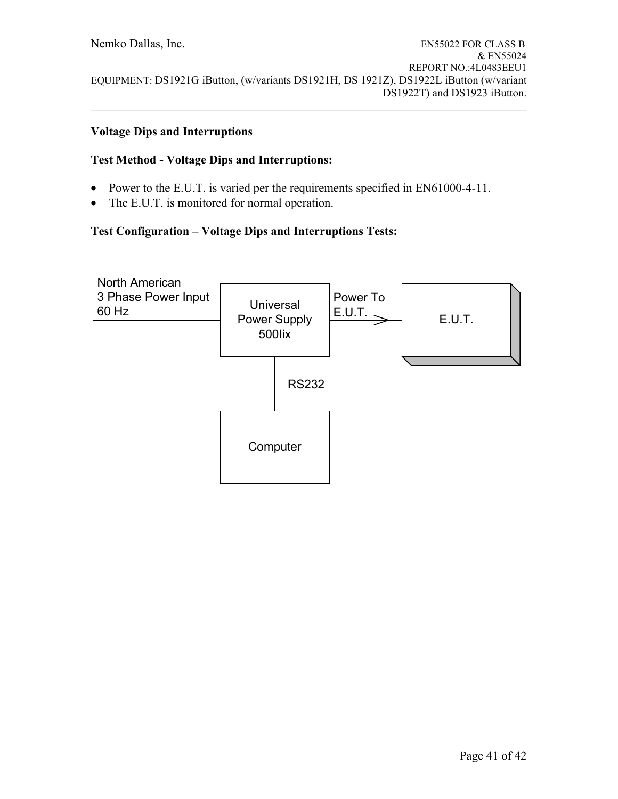### **Voltage Dips and Interruptions**

## **Test Method - Voltage Dips and Interruptions:**

- Power to the E.U.T. is varied per the requirements specified in EN61000-4-11.
- The E.U.T. is monitored for normal operation.

# **Test Configuration – Voltage Dips and Interruptions Tests:**